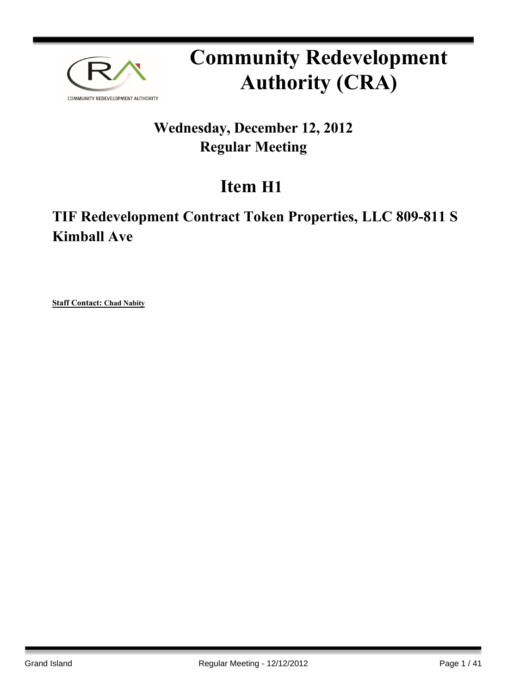

# **Community Redevelopment Authority (CRA)**

## **Wednesday, December 12, 2012 Regular Meeting**

# **Item H1**

## **TIF Redevelopment Contract Token Properties, LLC 809-811 S Kimball Ave**

**Staff Contact: Chad Nabity**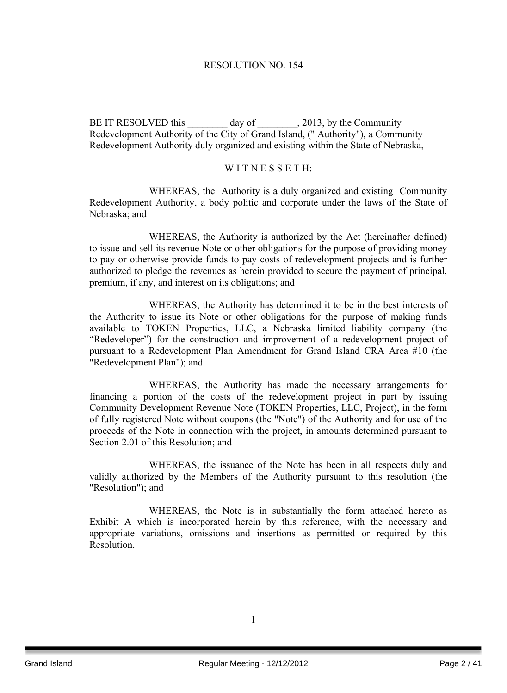## RESOLUTION NO. 154

BE IT RESOLVED this \_\_\_\_\_\_\_\_ day of \_\_\_\_\_\_\_\_\_, 2013, by the Community Redevelopment Authority of the City of Grand Island, (" Authority"), a Community Redevelopment Authority duly organized and existing within the State of Nebraska,

## WITNESSETH:

WHEREAS, the Authority is a duly organized and existing Community Redevelopment Authority, a body politic and corporate under the laws of the State of Nebraska; and

WHEREAS, the Authority is authorized by the Act (hereinafter defined) to issue and sell its revenue Note or other obligations for the purpose of providing money to pay or otherwise provide funds to pay costs of redevelopment projects and is further authorized to pledge the revenues as herein provided to secure the payment of principal, premium, if any, and interest on its obligations; and

WHEREAS, the Authority has determined it to be in the best interests of the Authority to issue its Note or other obligations for the purpose of making funds available to TOKEN Properties, LLC, a Nebraska limited liability company (the "Redeveloper") for the construction and improvement of a redevelopment project of pursuant to a Redevelopment Plan Amendment for Grand Island CRA Area #10 (the "Redevelopment Plan"); and

WHEREAS, the Authority has made the necessary arrangements for financing a portion of the costs of the redevelopment project in part by issuing Community Development Revenue Note (TOKEN Properties, LLC, Project), in the form of fully registered Note without coupons (the "Note") of the Authority and for use of the proceeds of the Note in connection with the project, in amounts determined pursuant to Section 2.01 of this Resolution; and

WHEREAS, the issuance of the Note has been in all respects duly and validly authorized by the Members of the Authority pursuant to this resolution (the "Resolution"); and

WHEREAS, the Note is in substantially the form attached hereto as Exhibit A which is incorporated herein by this reference, with the necessary and appropriate variations, omissions and insertions as permitted or required by this Resolution.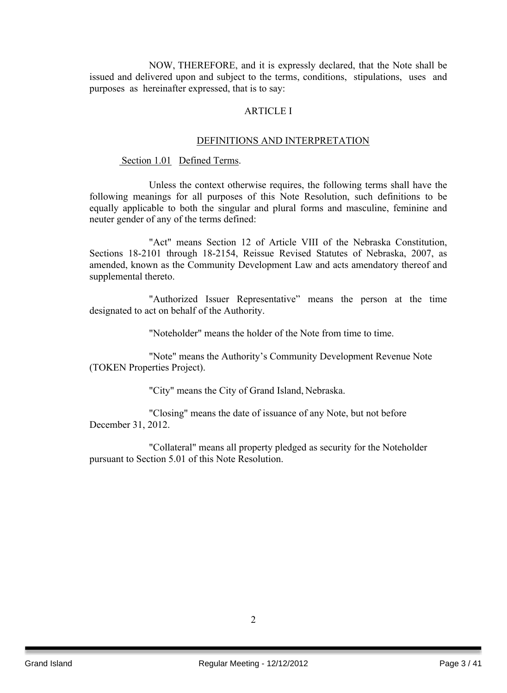NOW, THEREFORE, and it is expressly declared, that the Note shall be issued and delivered upon and subject to the terms, conditions, stipulations, uses and purposes as hereinafter expressed, that is to say:

## ARTICLE I

#### DEFINITIONS AND INTERPRETATION

#### Section 1.01 Defined Terms.

Unless the context otherwise requires, the following terms shall have the following meanings for all purposes of this Note Resolution, such definitions to be equally applicable to both the singular and plural forms and masculine, feminine and neuter gender of any of the terms defined:

"Act" means Section 12 of Article VIII of the Nebraska Constitution, Sections 18-2101 through 18-2154, Reissue Revised Statutes of Nebraska, 2007, as amended, known as the Community Development Law and acts amendatory thereof and supplemental thereto.

"Authorized Issuer Representative" means the person at the time designated to act on behalf of the Authority.

"Noteholder" means the holder of the Note from time to time.

"Note" means the Authority's Community Development Revenue Note (TOKEN Properties Project).

"City" means the City of Grand Island, Nebraska.

"Closing" means the date of issuance of any Note, but not before December 31, 2012.

"Collateral" means all property pledged as security for the Noteholder pursuant to Section 5.01 of this Note Resolution.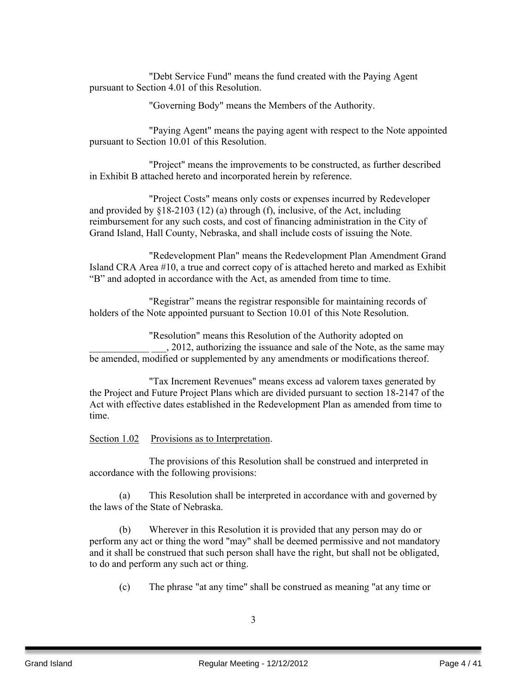"Debt Service Fund" means the fund created with the Paying Agent pursuant to Section 4.01 of this Resolution.

"Governing Body" means the Members of the Authority.

"Paying Agent" means the paying agent with respect to the Note appointed pursuant to Section 10.01 of this Resolution.

"Project" means the improvements to be constructed, as further described in Exhibit B attached hereto and incorporated herein by reference.

"Project Costs" means only costs or expenses incurred by Redeveloper and provided by §18-2103 (12) (a) through (f), inclusive, of the Act, including reimbursement for any such costs, and cost of financing administration in the City of Grand Island, Hall County, Nebraska, and shall include costs of issuing the Note.

"Redevelopment Plan" means the Redevelopment Plan Amendment Grand Island CRA Area #10, a true and correct copy of is attached hereto and marked as Exhibit "B" and adopted in accordance with the Act, as amended from time to time.

"Registrar" means the registrar responsible for maintaining records of holders of the Note appointed pursuant to Section 10.01 of this Note Resolution.

"Resolution" means this Resolution of the Authority adopted on \_\_\_\_\_\_\_\_\_\_\_\_ \_\_\_, 2012, authorizing the issuance and sale of the Note, as the same may be amended, modified or supplemented by any amendments or modifications thereof.

"Tax Increment Revenues" means excess ad valorem taxes generated by the Project and Future Project Plans which are divided pursuant to section 18-2147 of the Act with effective dates established in the Redevelopment Plan as amended from time to time.

Section 1.02 Provisions as to Interpretation.

The provisions of this Resolution shall be construed and interpreted in accordance with the following provisions:

(a) This Resolution shall be interpreted in accordance with and governed by the laws of the State of Nebraska.

(b) Wherever in this Resolution it is provided that any person may do or perform any act or thing the word "may" shall be deemed permissive and not mandatory and it shall be construed that such person shall have the right, but shall not be obligated, to do and perform any such act or thing.

(c) The phrase "at any time" shall be construed as meaning "at any time or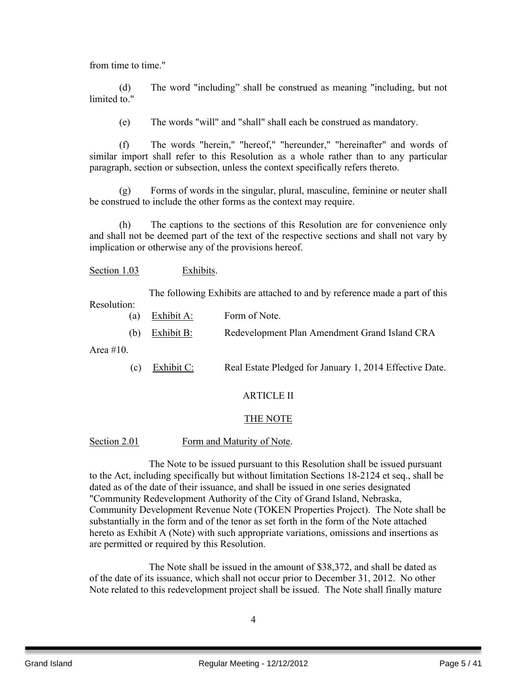from time to time."

(d) The word "including" shall be construed as meaning "including, but not limited to "

(e) The words "will" and "shall" shall each be construed as mandatory.

(f) The words "herein," "hereof," "hereunder," "hereinafter" and words of similar import shall refer to this Resolution as a whole rather than to any particular paragraph, section or subsection, unless the context specifically refers thereto.

(g) Forms of words in the singular, plural, masculine, feminine or neuter shall be construed to include the other forms as the context may require.

(h) The captions to the sections of this Resolution are for convenience only and shall not be deemed part of the text of the respective sections and shall not vary by implication or otherwise any of the provisions hereof.

Section 1.03 Exhibits.

The following Exhibits are attached to and by reference made a part of this Resolution:

- (a) Exhibit A: Form of Note.
- (b) Exhibit B: Redevelopment Plan Amendment Grand Island CRA

Area #10.

(c) Exhibit C: Real Estate Pledged for January 1, 2014 Effective Date.

## ARTICLE II

## THE NOTE

## Section 2.01 Form and Maturity of Note.

The Note to be issued pursuant to this Resolution shall be issued pursuant to the Act, including specifically but without limitation Sections 18-2124 et seq., shall be dated as of the date of their issuance, and shall be issued in one series designated "Community Redevelopment Authority of the City of Grand Island, Nebraska, Community Development Revenue Note (TOKEN Properties Project). The Note shall be substantially in the form and of the tenor as set forth in the form of the Note attached hereto as Exhibit A (Note) with such appropriate variations, omissions and insertions as are permitted or required by this Resolution.

The Note shall be issued in the amount of \$38,372, and shall be dated as of the date of its issuance, which shall not occur prior to December 31, 2012. No other Note related to this redevelopment project shall be issued. The Note shall finally mature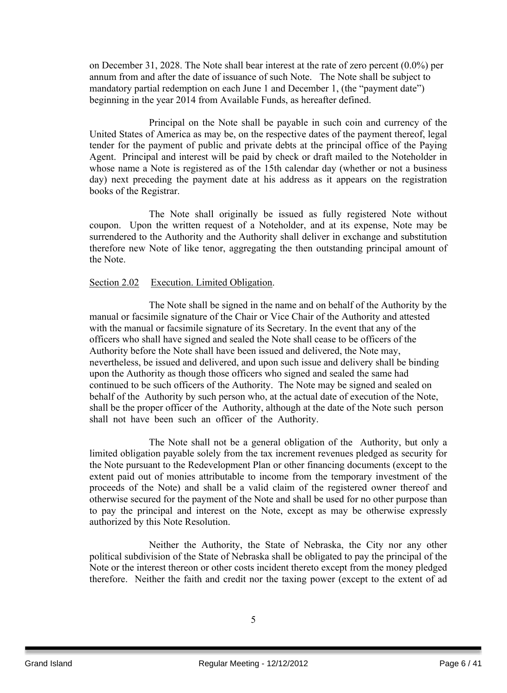on December 31, 2028. The Note shall bear interest at the rate of zero percent (0.0%) per annum from and after the date of issuance of such Note. The Note shall be subject to mandatory partial redemption on each June 1 and December 1, (the "payment date") beginning in the year 2014 from Available Funds, as hereafter defined.

Principal on the Note shall be payable in such coin and currency of the United States of America as may be, on the respective dates of the payment thereof, legal tender for the payment of public and private debts at the principal office of the Paying Agent. Principal and interest will be paid by check or draft mailed to the Noteholder in whose name a Note is registered as of the 15th calendar day (whether or not a business day) next preceding the payment date at his address as it appears on the registration books of the Registrar.

The Note shall originally be issued as fully registered Note without coupon. Upon the written request of a Noteholder, and at its expense, Note may be surrendered to the Authority and the Authority shall deliver in exchange and substitution therefore new Note of like tenor, aggregating the then outstanding principal amount of the Note.

## Section 2.02 Execution. Limited Obligation.

The Note shall be signed in the name and on behalf of the Authority by the manual or facsimile signature of the Chair or Vice Chair of the Authority and attested with the manual or facsimile signature of its Secretary. In the event that any of the officers who shall have signed and sealed the Note shall cease to be officers of the Authority before the Note shall have been issued and delivered, the Note may, nevertheless, be issued and delivered, and upon such issue and delivery shall be binding upon the Authority as though those officers who signed and sealed the same had continued to be such officers of the Authority. The Note may be signed and sealed on behalf of the Authority by such person who, at the actual date of execution of the Note, shall be the proper officer of the Authority, although at the date of the Note such person shall not have been such an officer of the Authority.

The Note shall not be a general obligation of the Authority, but only a limited obligation payable solely from the tax increment revenues pledged as security for the Note pursuant to the Redevelopment Plan or other financing documents (except to the extent paid out of monies attributable to income from the temporary investment of the proceeds of the Note) and shall be a valid claim of the registered owner thereof and otherwise secured for the payment of the Note and shall be used for no other purpose than to pay the principal and interest on the Note, except as may be otherwise expressly authorized by this Note Resolution.

Neither the Authority, the State of Nebraska, the City nor any other political subdivision of the State of Nebraska shall be obligated to pay the principal of the Note or the interest thereon or other costs incident thereto except from the money pledged therefore. Neither the faith and credit nor the taxing power (except to the extent of ad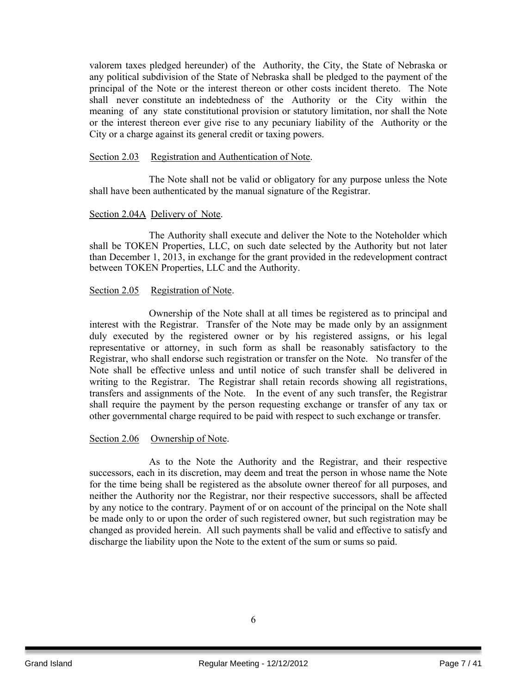valorem taxes pledged hereunder) of the Authority, the City, the State of Nebraska or any political subdivision of the State of Nebraska shall be pledged to the payment of the principal of the Note or the interest thereon or other costs incident thereto. The Note shall never constitute an indebtedness of the Authority or the City within the meaning of any state constitutional provision or statutory limitation, nor shall the Note or the interest thereon ever give rise to any pecuniary liability of the Authority or the City or a charge against its general credit or taxing powers.

#### Section 2.03 Registration and Authentication of Note.

The Note shall not be valid or obligatory for any purpose unless the Note shall have been authenticated by the manual signature of the Registrar.

## Section 2.04A Delivery of Note.

The Authority shall execute and deliver the Note to the Noteholder which shall be TOKEN Properties, LLC, on such date selected by the Authority but not later than December 1, 2013, in exchange for the grant provided in the redevelopment contract between TOKEN Properties, LLC and the Authority.

#### Section 2.05 Registration of Note.

Ownership of the Note shall at all times be registered as to principal and interest with the Registrar. Transfer of the Note may be made only by an assignment duly executed by the registered owner or by his registered assigns, or his legal representative or attorney, in such form as shall be reasonably satisfactory to the Registrar, who shall endorse such registration or transfer on the Note. No transfer of the Note shall be effective unless and until notice of such transfer shall be delivered in writing to the Registrar. The Registrar shall retain records showing all registrations, transfers and assignments of the Note. In the event of any such transfer, the Registrar shall require the payment by the person requesting exchange or transfer of any tax or other governmental charge required to be paid with respect to such exchange or transfer.

#### Section 2.06 Ownership of Note.

As to the Note the Authority and the Registrar, and their respective successors, each in its discretion, may deem and treat the person in whose name the Note for the time being shall be registered as the absolute owner thereof for all purposes, and neither the Authority nor the Registrar, nor their respective successors, shall be affected by any notice to the contrary. Payment of or on account of the principal on the Note shall be made only to or upon the order of such registered owner, but such registration may be changed as provided herein. All such payments shall be valid and effective to satisfy and discharge the liability upon the Note to the extent of the sum or sums so paid.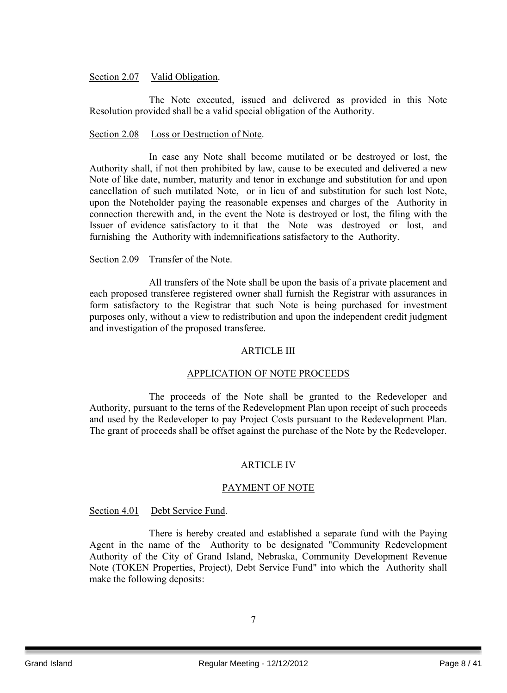## Section 2.07 Valid Obligation.

The Note executed, issued and delivered as provided in this Note Resolution provided shall be a valid special obligation of the Authority.

## Section 2.08 Loss or Destruction of Note.

In case any Note shall become mutilated or be destroyed or lost, the Authority shall, if not then prohibited by law, cause to be executed and delivered a new Note of like date, number, maturity and tenor in exchange and substitution for and upon cancellation of such mutilated Note, or in lieu of and substitution for such lost Note, upon the Noteholder paying the reasonable expenses and charges of the Authority in connection therewith and, in the event the Note is destroyed or lost, the filing with the Issuer of evidence satisfactory to it that the Note was destroyed or lost, and furnishing the Authority with indemnifications satisfactory to the Authority.

## Section 2.09 Transfer of the Note.

All transfers of the Note shall be upon the basis of a private placement and each proposed transferee registered owner shall furnish the Registrar with assurances in form satisfactory to the Registrar that such Note is being purchased for investment purposes only, without a view to redistribution and upon the independent credit judgment and investigation of the proposed transferee.

## ARTICLE III

## APPLICATION OF NOTE PROCEEDS

The proceeds of the Note shall be granted to the Redeveloper and Authority, pursuant to the terns of the Redevelopment Plan upon receipt of such proceeds and used by the Redeveloper to pay Project Costs pursuant to the Redevelopment Plan. The grant of proceeds shall be offset against the purchase of the Note by the Redeveloper.

## ARTICLE IV

## PAYMENT OF NOTE

## Section 4.01 Debt Service Fund.

There is hereby created and established a separate fund with the Paying Agent in the name of the Authority to be designated "Community Redevelopment Authority of the City of Grand Island, Nebraska, Community Development Revenue Note (TOKEN Properties, Project), Debt Service Fund" into which the Authority shall make the following deposits: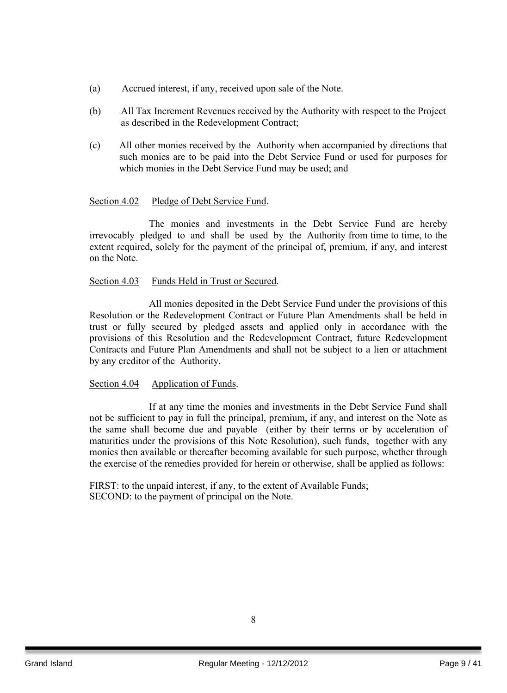- (a) Accrued interest, if any, received upon sale of the Note.
- (b) All Tax Increment Revenues received by the Authority with respect to the Project as described in the Redevelopment Contract;
- (c) All other monies received by the Authority when accompanied by directions that such monies are to be paid into the Debt Service Fund or used for purposes for which monies in the Debt Service Fund may be used; and

## Section 4.02 Pledge of Debt Service Fund.

The monies and investments in the Debt Service Fund are hereby irrevocably pledged to and shall be used by the Authority from time to time, to the extent required, solely for the payment of the principal of, premium, if any, and interest on the Note.

## Section 4.03 Funds Held in Trust or Secured.

All monies deposited in the Debt Service Fund under the provisions of this Resolution or the Redevelopment Contract or Future Plan Amendments shall be held in trust or fully secured by pledged assets and applied only in accordance with the provisions of this Resolution and the Redevelopment Contract, future Redevelopment Contracts and Future Plan Amendments and shall not be subject to a lien or attachment by any creditor of the Authority.

## Section 4.04 Application of Funds.

If at any time the monies and investments in the Debt Service Fund shall not be sufficient to pay in full the principal, premium, if any, and interest on the Note as the same shall become due and payable (either by their terms or by acceleration of maturities under the provisions of this Note Resolution), such funds, together with any monies then available or thereafter becoming available for such purpose, whether through the exercise of the remedies provided for herein or otherwise, shall be applied as follows:

FIRST: to the unpaid interest, if any, to the extent of Available Funds; SECOND: to the payment of principal on the Note.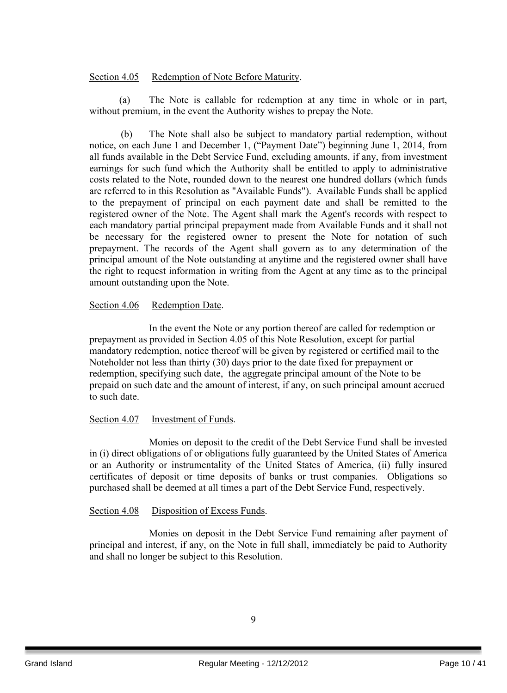## Section 4.05 Redemption of Note Before Maturity.

(a) The Note is callable for redemption at any time in whole or in part, without premium, in the event the Authority wishes to prepay the Note.

(b) The Note shall also be subject to mandatory partial redemption, without notice, on each June 1 and December 1, ("Payment Date") beginning June 1, 2014, from all funds available in the Debt Service Fund, excluding amounts, if any, from investment earnings for such fund which the Authority shall be entitled to apply to administrative costs related to the Note, rounded down to the nearest one hundred dollars (which funds are referred to in this Resolution as "Available Funds"). Available Funds shall be applied to the prepayment of principal on each payment date and shall be remitted to the registered owner of the Note. The Agent shall mark the Agent's records with respect to each mandatory partial principal prepayment made from Available Funds and it shall not be necessary for the registered owner to present the Note for notation of such prepayment. The records of the Agent shall govern as to any determination of the principal amount of the Note outstanding at anytime and the registered owner shall have the right to request information in writing from the Agent at any time as to the principal amount outstanding upon the Note.

## Section 4.06 Redemption Date.

In the event the Note or any portion thereof are called for redemption or prepayment as provided in Section 4.05 of this Note Resolution, except for partial mandatory redemption, notice thereof will be given by registered or certified mail to the Noteholder not less than thirty (30) days prior to the date fixed for prepayment or redemption, specifying such date, the aggregate principal amount of the Note to be prepaid on such date and the amount of interest, if any, on such principal amount accrued to such date.

## Section 4.07 Investment of Funds.

Monies on deposit to the credit of the Debt Service Fund shall be invested in (i) direct obligations of or obligations fully guaranteed by the United States of America or an Authority or instrumentality of the United States of America, (ii) fully insured certificates of deposit or time deposits of banks or trust companies. Obligations so purchased shall be deemed at all times a part of the Debt Service Fund, respectively.

## Section 4.08 Disposition of Excess Funds.

Monies on deposit in the Debt Service Fund remaining after payment of principal and interest, if any, on the Note in full shall, immediately be paid to Authority and shall no longer be subject to this Resolution.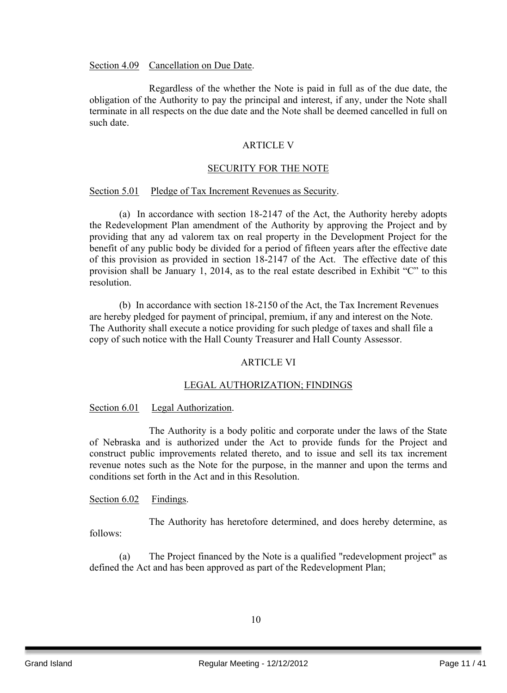Section 4.09 Cancellation on Due Date.

Regardless of the whether the Note is paid in full as of the due date, the obligation of the Authority to pay the principal and interest, if any, under the Note shall terminate in all respects on the due date and the Note shall be deemed cancelled in full on such date.

## ARTICLE V

#### SECURITY FOR THE NOTE

#### Section 5.01 Pledge of Tax Increment Revenues as Security.

(a) In accordance with section 18-2147 of the Act, the Authority hereby adopts the Redevelopment Plan amendment of the Authority by approving the Project and by providing that any ad valorem tax on real property in the Development Project for the benefit of any public body be divided for a period of fifteen years after the effective date of this provision as provided in section 18-2147 of the Act. The effective date of this provision shall be January 1, 2014, as to the real estate described in Exhibit "C" to this resolution.

(b) In accordance with section 18-2150 of the Act, the Tax Increment Revenues are hereby pledged for payment of principal, premium, if any and interest on the Note. The Authority shall execute a notice providing for such pledge of taxes and shall file a copy of such notice with the Hall County Treasurer and Hall County Assessor.

## ARTICLE VI

## LEGAL AUTHORIZATION; FINDINGS

## Section 6.01 Legal Authorization.

The Authority is a body politic and corporate under the laws of the State of Nebraska and is authorized under the Act to provide funds for the Project and construct public improvements related thereto, and to issue and sell its tax increment revenue notes such as the Note for the purpose, in the manner and upon the terms and conditions set forth in the Act and in this Resolution.

## Section 6.02 Findings.

The Authority has heretofore determined, and does hereby determine, as follows:

(a) The Project financed by the Note is a qualified "redevelopment project" as defined the Act and has been approved as part of the Redevelopment Plan;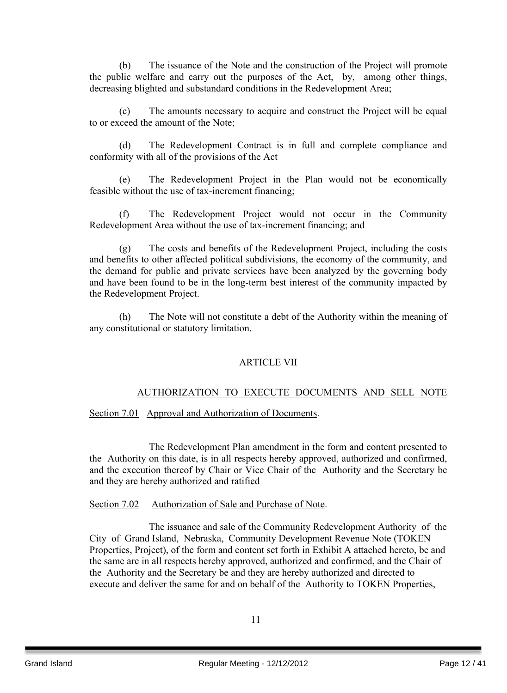(b) The issuance of the Note and the construction of the Project will promote the public welfare and carry out the purposes of the Act, by, among other things, decreasing blighted and substandard conditions in the Redevelopment Area;

(c) The amounts necessary to acquire and construct the Project will be equal to or exceed the amount of the Note;

(d) The Redevelopment Contract is in full and complete compliance and conformity with all of the provisions of the Act

(e) The Redevelopment Project in the Plan would not be economically feasible without the use of tax-increment financing;

(f) The Redevelopment Project would not occur in the Community Redevelopment Area without the use of tax-increment financing; and

(g) The costs and benefits of the Redevelopment Project, including the costs and benefits to other affected political subdivisions, the economy of the community, and the demand for public and private services have been analyzed by the governing body and have been found to be in the long-term best interest of the community impacted by the Redevelopment Project.

(h) The Note will not constitute a debt of the Authority within the meaning of any constitutional or statutory limitation.

## ARTICLE VII

## AUTHORIZATION TO EXECUTE DOCUMENTS AND SELL NOTE

Section 7.01 Approval and Authorization of Documents.

The Redevelopment Plan amendment in the form and content presented to the Authority on this date, is in all respects hereby approved, authorized and confirmed, and the execution thereof by Chair or Vice Chair of the Authority and the Secretary be and they are hereby authorized and ratified

## Section 7.02 Authorization of Sale and Purchase of Note.

The issuance and sale of the Community Redevelopment Authority of the City of Grand Island, Nebraska, Community Development Revenue Note (TOKEN Properties, Project), of the form and content set forth in Exhibit A attached hereto, be and the same are in all respects hereby approved, authorized and confirmed, and the Chair of the Authority and the Secretary be and they are hereby authorized and directed to execute and deliver the same for and on behalf of the Authority to TOKEN Properties,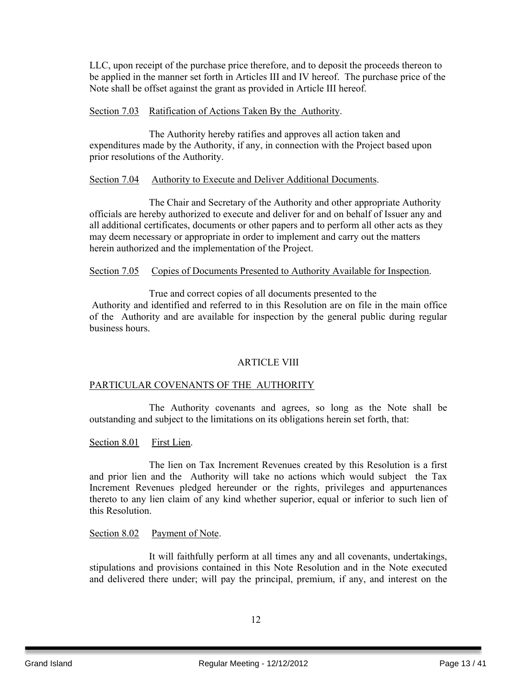LLC, upon receipt of the purchase price therefore, and to deposit the proceeds thereon to be applied in the manner set forth in Articles III and IV hereof. The purchase price of the Note shall be offset against the grant as provided in Article III hereof.

## Section 7.03 Ratification of Actions Taken By the Authority.

The Authority hereby ratifies and approves all action taken and expenditures made by the Authority, if any, in connection with the Project based upon prior resolutions of the Authority.

## Section 7.04 Authority to Execute and Deliver Additional Documents.

The Chair and Secretary of the Authority and other appropriate Authority officials are hereby authorized to execute and deliver for and on behalf of Issuer any and all additional certificates, documents or other papers and to perform all other acts as they may deem necessary or appropriate in order to implement and carry out the matters herein authorized and the implementation of the Project.

## Section 7.05 Copies of Documents Presented to Authority Available for Inspection.

True and correct copies of all documents presented to the Authority and identified and referred to in this Resolution are on file in the main office of the Authority and are available for inspection by the general public during regular business hours.

## ARTICLE VIII

## PARTICULAR COVENANTS OF THE AUTHORITY

The Authority covenants and agrees, so long as the Note shall be outstanding and subject to the limitations on its obligations herein set forth, that:

Section 8.01 First Lien.

The lien on Tax Increment Revenues created by this Resolution is a first and prior lien and the Authority will take no actions which would subject the Tax Increment Revenues pledged hereunder or the rights, privileges and appurtenances thereto to any lien claim of any kind whether superior, equal or inferior to such lien of this Resolution.

## Section 8.02 Payment of Note.

It will faithfully perform at all times any and all covenants, undertakings, stipulations and provisions contained in this Note Resolution and in the Note executed and delivered there under; will pay the principal, premium, if any, and interest on the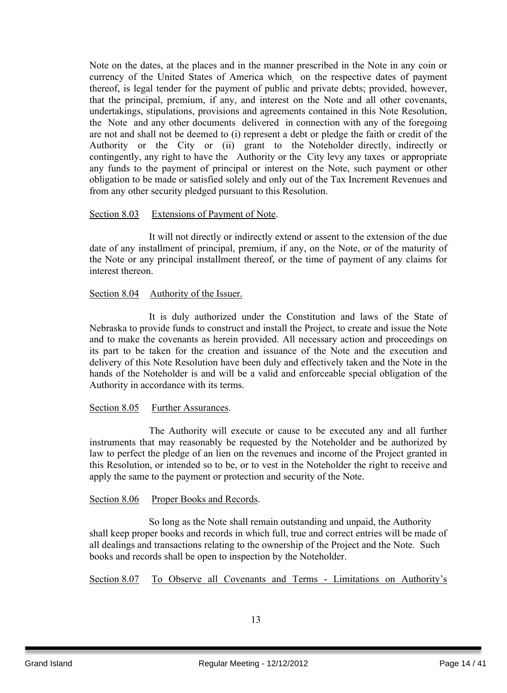Note on the dates, at the places and in the manner prescribed in the Note in any coin or currency of the United States of America which, on the respective dates of payment thereof, is legal tender for the payment of public and private debts; provided, however, that the principal, premium, if any, and interest on the Note and all other covenants, undertakings, stipulations, provisions and agreements contained in this Note Resolution, the Note and any other documents delivered in connection with any of the foregoing are not and shall not be deemed to (i) represent a debt or pledge the faith or credit of the Authority or the City or (ii) grant to the Noteholder directly, indirectly or contingently, any right to have the Authority or the City levy any taxes or appropriate any funds to the payment of principal or interest on the Note, such payment or other obligation to be made or satisfied solely and only out of the Tax Increment Revenues and from any other security pledged pursuant to this Resolution.

## Section 8.03 Extensions of Payment of Note.

It will not directly or indirectly extend or assent to the extension of the due date of any installment of principal, premium, if any, on the Note, or of the maturity of the Note or any principal installment thereof, or the time of payment of any claims for interest thereon.

## Section 8.04 Authority of the Issuer.

It is duly authorized under the Constitution and laws of the State of Nebraska to provide funds to construct and install the Project, to create and issue the Note and to make the covenants as herein provided. All necessary action and proceedings on its part to be taken for the creation and issuance of the Note and the execution and delivery of this Note Resolution have been duly and effectively taken and the Note in the hands of the Noteholder is and will be a valid and enforceable special obligation of the Authority in accordance with its terms.

## Section 8.05 Further Assurances.

The Authority will execute or cause to be executed any and all further instruments that may reasonably be requested by the Noteholder and be authorized by law to perfect the pledge of an lien on the revenues and income of the Project granted in this Resolution, or intended so to be, or to vest in the Noteholder the right to receive and apply the same to the payment or protection and security of the Note.

## Section 8.06 Proper Books and Records.

So long as the Note shall remain outstanding and unpaid, the Authority shall keep proper books and records in which full, true and correct entries will be made of all dealings and transactions relating to the ownership of the Project and the Note. Such books and records shall be open to inspection by the Noteholder.

Section 8.07 To Observe all Covenants and Terms - Limitations on Authority's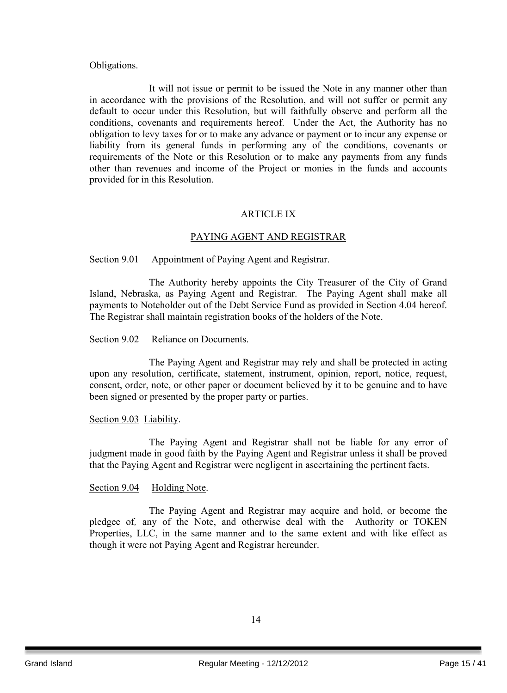## Obligations.

It will not issue or permit to be issued the Note in any manner other than in accordance with the provisions of the Resolution, and will not suffer or permit any default to occur under this Resolution, but will faithfully observe and perform all the conditions, covenants and requirements hereof. Under the Act, the Authority has no obligation to levy taxes for or to make any advance or payment or to incur any expense or liability from its general funds in performing any of the conditions, covenants or requirements of the Note or this Resolution or to make any payments from any funds other than revenues and income of the Project or monies in the funds and accounts provided for in this Resolution.

## ARTICLE IX

## PAYING AGENT AND REGISTRAR

## Section 9.01 Appointment of Paying Agent and Registrar.

The Authority hereby appoints the City Treasurer of the City of Grand Island, Nebraska, as Paying Agent and Registrar. The Paying Agent shall make all payments to Noteholder out of the Debt Service Fund as provided in Section 4.04 hereof. The Registrar shall maintain registration books of the holders of the Note.

#### Section 9.02 Reliance on Documents.

The Paying Agent and Registrar may rely and shall be protected in acting upon any resolution, certificate, statement, instrument, opinion, report, notice, request, consent, order, note, or other paper or document believed by it to be genuine and to have been signed or presented by the proper party or parties.

#### Section 9.03 Liability.

The Paying Agent and Registrar shall not be liable for any error of judgment made in good faith by the Paying Agent and Registrar unless it shall be proved that the Paying Agent and Registrar were negligent in ascertaining the pertinent facts.

#### Section 9.04 Holding Note.

The Paying Agent and Registrar may acquire and hold, or become the pledgee of*,* any of the Note, and otherwise deal with the Authority or TOKEN Properties, LLC, in the same manner and to the same extent and with like effect as though it were not Paying Agent and Registrar hereunder.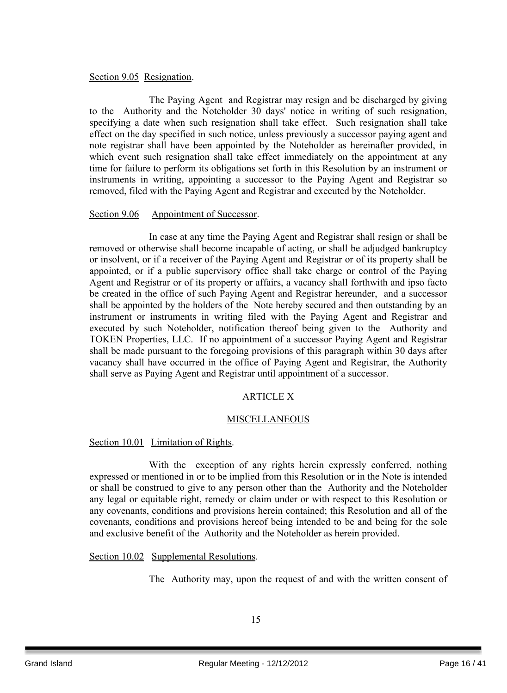## Section 9.05 Resignation.

The Paying Agent and Registrar may resign and be discharged by giving to the Authority and the Noteholder 30 days' notice in writing of such resignation, specifying a date when such resignation shall take effect. Such resignation shall take effect on the day specified in such notice, unless previously a successor paying agent and note registrar shall have been appointed by the Noteholder as hereinafter provided, in which event such resignation shall take effect immediately on the appointment at any time for failure to perform its obligations set forth in this Resolution by an instrument or instruments in writing, appointing a successor to the Paying Agent and Registrar so removed, filed with the Paying Agent and Registrar and executed by the Noteholder.

## Section 9.06 Appointment of Successor.

In case at any time the Paying Agent and Registrar shall resign or shall be removed or otherwise shall become incapable of acting, or shall be adjudged bankruptcy or insolvent, or if a receiver of the Paying Agent and Registrar or of its property shall be appointed, or if a public supervisory office shall take charge or control of the Paying Agent and Registrar or of its property or affairs, a vacancy shall forthwith and ipso facto be created in the office of such Paying Agent and Registrar hereunder, and a successor shall be appointed by the holders of the Note hereby secured and then outstanding by an instrument or instruments in writing filed with the Paying Agent and Registrar and executed by such Noteholder, notification thereof being given to the Authority and TOKEN Properties, LLC. If no appointment of a successor Paying Agent and Registrar shall be made pursuant to the foregoing provisions of this paragraph within 30 days after vacancy shall have occurred in the office of Paying Agent and Registrar, the Authority shall serve as Paying Agent and Registrar until appointment of a successor.

## ARTICLE X

## MISCELLANEOUS

## Section 10.01 Limitation of Rights.

With the exception of any rights herein expressly conferred, nothing expressed or mentioned in or to be implied from this Resolution or in the Note is intended or shall be construed to give to any person other than the Authority and the Noteholder any legal or equitable right, remedy or claim under or with respect to this Resolution or any covenants, conditions and provisions herein contained; this Resolution and all of the covenants, conditions and provisions hereof being intended to be and being for the sole and exclusive benefit of the Authority and the Noteholder as herein provided.

Section 10.02 Supplemental Resolutions.

The Authority may, upon the request of and with the written consent of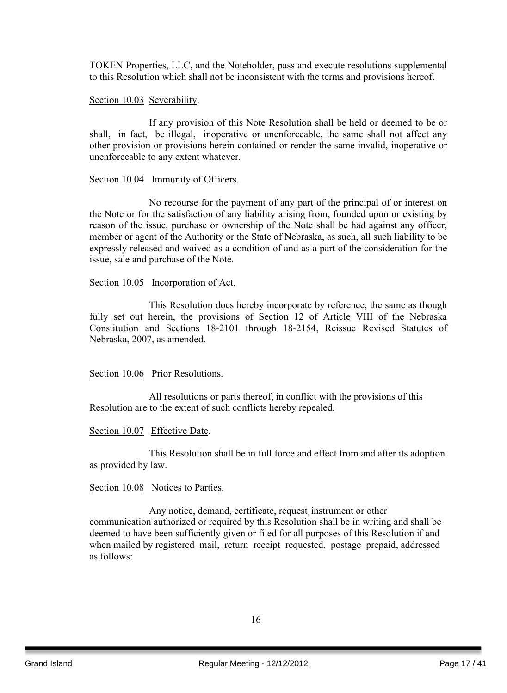TOKEN Properties, LLC, and the Noteholder, pass and execute resolutions supplemental to this Resolution which shall not be inconsistent with the terms and provisions hereof.

## Section 10.03 Severability.

If any provision of this Note Resolution shall be held or deemed to be or shall, in fact, be illegal, inoperative or unenforceable, the same shall not affect any other provision or provisions herein contained or render the same invalid, inoperative or unenforceable to any extent whatever.

#### Section 10.04 Immunity of Officers.

No recourse for the payment of any part of the principal of or interest on the Note or for the satisfaction of any liability arising from, founded upon or existing by reason of the issue, purchase or ownership of the Note shall be had against any officer, member or agent of the Authority or the State of Nebraska, as such, all such liability to be expressly released and waived as a condition of and as a part of the consideration for the issue, sale and purchase of the Note.

#### Section 10.05 Incorporation of Act.

This Resolution does hereby incorporate by reference, the same as though fully set out herein, the provisions of Section 12 of Article VIII of the Nebraska Constitution and Sections 18-2101 through 18-2154, Reissue Revised Statutes of Nebraska, 2007, as amended.

## Section 10.06 Prior Resolutions.

All resolutions or parts thereof, in conflict with the provisions of this Resolution are to the extent of such conflicts hereby repealed.

## Section 10.07 Effective Date.

This Resolution shall be in full force and effect from and after its adoption as provided by law.

#### Section 10.08 Notices to Parties.

Any notice, demand, certificate, request, instrument or other communication authorized or required by this Resolution shall be in writing and shall be deemed to have been sufficiently given or filed for all purposes of this Resolution if and when mailed by registered mail, return receipt requested, postage prepaid, addressed as follows: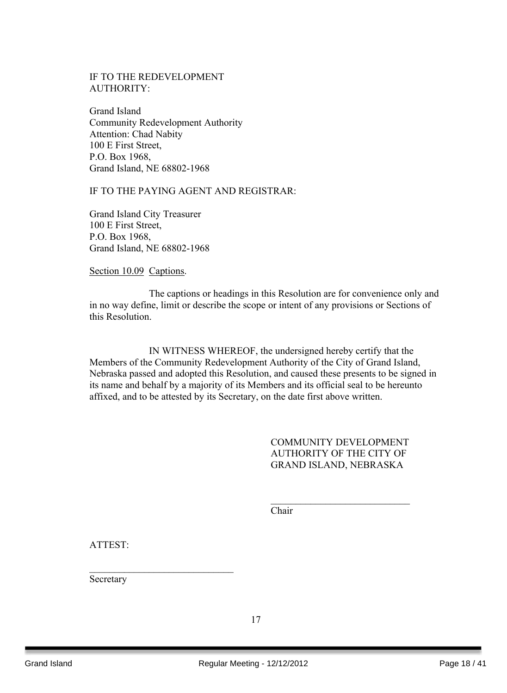## IF TO THE REDEVELOPMENT AUTHORITY:

Grand Island Community Redevelopment Authority Attention: Chad Nabity 100 E First Street, P.O. Box 1968, Grand Island, NE 68802-1968

## IF TO THE PAYING AGENT AND REGISTRAR:

Grand Island City Treasurer 100 E First Street, P.O. Box 1968, Grand Island, NE 68802-1968

Section 10.09 Captions.

The captions or headings in this Resolution are for convenience only and in no way define, limit or describe the scope or intent of any provisions or Sections of this Resolution.

IN WITNESS WHEREOF, the undersigned hereby certify that the Members of the Community Redevelopment Authority of the City of Grand Island, Nebraska passed and adopted this Resolution, and caused these presents to be signed in its name and behalf by a majority of its Members and its official seal to be hereunto affixed, and to be attested by its Secretary, on the date first above written.

> COMMUNITY DEVELOPMENT AUTHORITY OF THE CITY OF GRAND ISLAND, NEBRASKA

> $\mathcal{L}_\text{max}$  , where  $\mathcal{L}_\text{max}$  , we have the set of the set of the set of the set of the set of the set of the set of the set of the set of the set of the set of the set of the set of the set of the set of the set of

Chair

ATTEST:

Secretary

 $\mathcal{L}_\text{max}$  , where  $\mathcal{L}_\text{max}$  , we have the set of  $\mathcal{L}_\text{max}$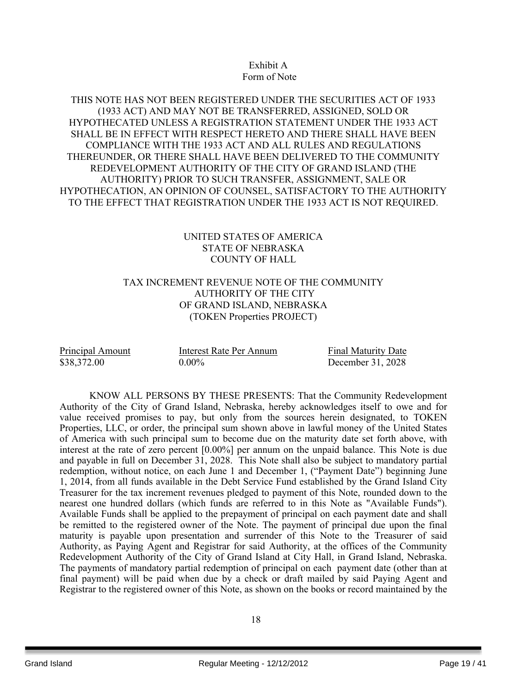## Exhibit A Form of Note

## THIS NOTE HAS NOT BEEN REGISTERED UNDER THE SECURITIES ACT OF 1933 (1933 ACT) AND MAY NOT BE TRANSFERRED, ASSIGNED, SOLD OR HYPOTHECATED UNLESS A REGISTRATION STATEMENT UNDER THE 1933 ACT SHALL BE IN EFFECT WITH RESPECT HERETO AND THERE SHALL HAVE BEEN COMPLIANCE WITH THE 1933 ACT AND ALL RULES AND REGULATIONS THEREUNDER, OR THERE SHALL HAVE BEEN DELIVERED TO THE COMMUNITY REDEVELOPMENT AUTHORITY OF THE CITY OF GRAND ISLAND (THE AUTHORITY) PRIOR TO SUCH TRANSFER, ASSIGNMENT, SALE OR HYPOTHECATION, AN OPINION OF COUNSEL, SATISFACTORY TO THE AUTHORITY TO THE EFFECT THAT REGISTRATION UNDER THE 1933 ACT IS NOT REQUIRED.

## UNITED STATES OF AMERICA STATE OF NEBRASKA COUNTY OF HALL

## TAX INCREMENT REVENUE NOTE OF THE COMMUNITY AUTHORITY OF THE CITY OF GRAND ISLAND, NEBRASKA (TOKEN Properties PROJECT)

Principal Amount Interest Rate Per Annum Final Maturity Date \$38,372.00 0.00% December 31, 2028

KNOW ALL PERSONS BY THESE PRESENTS: That the Community Redevelopment Authority of the City of Grand Island, Nebraska, hereby acknowledges itself to owe and for value received promises to pay, but only from the sources herein designated, to TOKEN Properties, LLC, or order, the principal sum shown above in lawful money of the United States of America with such principal sum to become due on the maturity date set forth above, with interest at the rate of zero percent [0.00%] per annum on the unpaid balance. This Note is due and payable in full on December 31, 2028. This Note shall also be subject to mandatory partial redemption, without notice, on each June 1 and December 1, ("Payment Date") beginning June 1, 2014, from all funds available in the Debt Service Fund established by the Grand Island City Treasurer for the tax increment revenues pledged to payment of this Note, rounded down to the nearest one hundred dollars (which funds are referred to in this Note as "Available Funds"). Available Funds shall be applied to the prepayment of principal on each payment date and shall be remitted to the registered owner of the Note. The payment of principal due upon the final maturity is payable upon presentation and surrender of this Note to the Treasurer of said Authority, as Paying Agent and Registrar for said Authority, at the offices of the Community Redevelopment Authority of the City of Grand Island at City Hall, in Grand Island, Nebraska. The payments of mandatory partial redemption of principal on each payment date (other than at final payment) will be paid when due by a check or draft mailed by said Paying Agent and Registrar to the registered owner of this Note, as shown on the books or record maintained by the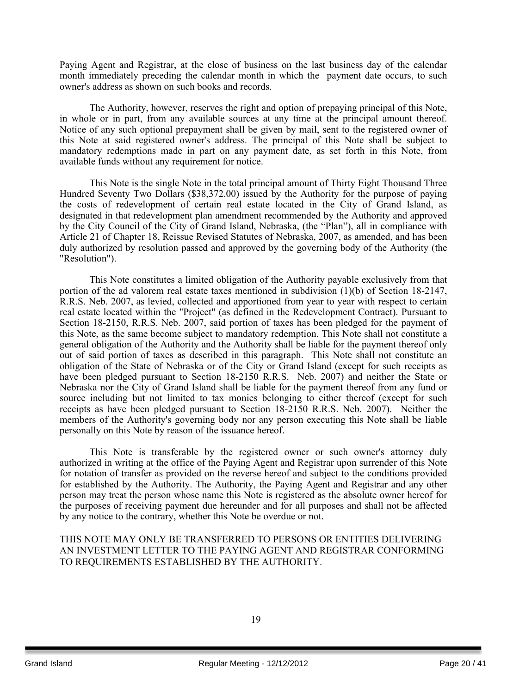Paying Agent and Registrar, at the close of business on the last business day of the calendar month immediately preceding the calendar month in which the payment date occurs, to such owner's address as shown on such books and records.

The Authority, however, reserves the right and option of prepaying principal of this Note, in whole or in part, from any available sources at any time at the principal amount thereof. Notice of any such optional prepayment shall be given by mail, sent to the registered owner of this Note at said registered owner's address. The principal of this Note shall be subject to mandatory redemptions made in part on any payment date, as set forth in this Note, from available funds without any requirement for notice.

This Note is the single Note in the total principal amount of Thirty Eight Thousand Three Hundred Seventy Two Dollars (\$38,372.00) issued by the Authority for the purpose of paying the costs of redevelopment of certain real estate located in the City of Grand Island, as designated in that redevelopment plan amendment recommended by the Authority and approved by the City Council of the City of Grand Island, Nebraska, (the "Plan"), all in compliance with Article 21 of Chapter 18, Reissue Revised Statutes of Nebraska, 2007, as amended, and has been duly authorized by resolution passed and approved by the governing body of the Authority (the "Resolution").

This Note constitutes a limited obligation of the Authority payable exclusively from that portion of the ad valorem real estate taxes mentioned in subdivision (1)(b) of Section 18-2147, R.R.S. Neb. 2007, as levied, collected and apportioned from year to year with respect to certain real estate located within the "Project" (as defined in the Redevelopment Contract). Pursuant to Section 18-2150, R.R.S. Neb. 2007, said portion of taxes has been pledged for the payment of this Note, as the same become subject to mandatory redemption. This Note shall not constitute a general obligation of the Authority and the Authority shall be liable for the payment thereof only out of said portion of taxes as described in this paragraph. This Note shall not constitute an obligation of the State of Nebraska or of the City or Grand Island (except for such receipts as have been pledged pursuant to Section 18-2150 R.R.S. Neb. 2007) and neither the State or Nebraska nor the City of Grand Island shall be liable for the payment thereof from any fund or source including but not limited to tax monies belonging to either thereof (except for such receipts as have been pledged pursuant to Section 18-2150 R.R.S. Neb. 2007). Neither the members of the Authority's governing body nor any person executing this Note shall be liable personally on this Note by reason of the issuance hereof.

This Note is transferable by the registered owner or such owner's attorney duly authorized in writing at the office of the Paying Agent and Registrar upon surrender of this Note for notation of transfer as provided on the reverse hereof and subject to the conditions provided for established by the Authority. The Authority, the Paying Agent and Registrar and any other person may treat the person whose name this Note is registered as the absolute owner hereof for the purposes of receiving payment due hereunder and for all purposes and shall not be affected by any notice to the contrary, whether this Note be overdue or not.

THIS NOTE MAY ONLY BE TRANSFERRED TO PERSONS OR ENTITIES DELIVERING AN INVESTMENT LETTER TO THE PAYING AGENT AND REGISTRAR CONFORMING TO REQUIREMENTS ESTABLISHED BY THE AUTHORITY.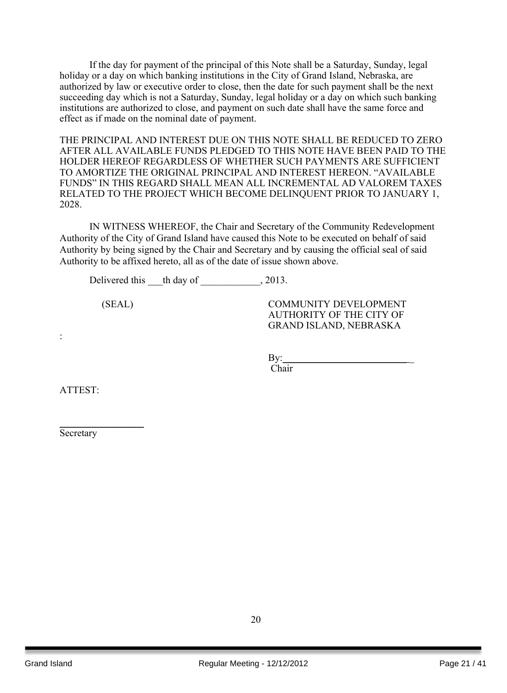If the day for payment of the principal of this Note shall be a Saturday, Sunday, legal holiday or a day on which banking institutions in the City of Grand Island, Nebraska, are authorized by law or executive order to close, then the date for such payment shall be the next succeeding day which is not a Saturday, Sunday, legal holiday or a day on which such banking institutions are authorized to close, and payment on such date shall have the same force and effect as if made on the nominal date of payment.

THE PRINCIPAL AND INTEREST DUE ON THIS NOTE SHALL BE REDUCED TO ZERO AFTER ALL AVAILABLE FUNDS PLEDGED TO THIS NOTE HAVE BEEN PAID TO THE HOLDER HEREOF REGARDLESS OF WHETHER SUCH PAYMENTS ARE SUFFICIENT TO AMORTIZE THE ORIGINAL PRINCIPAL AND INTEREST HEREON. "AVAILABLE FUNDS" IN THIS REGARD SHALL MEAN ALL INCREMENTAL AD VALOREM TAXES RELATED TO THE PROJECT WHICH BECOME DELINQUENT PRIOR TO JANUARY 1, 2028.

IN WITNESS WHEREOF, the Chair and Secretary of the Community Redevelopment Authority of the City of Grand Island have caused this Note to be executed on behalf of said Authority by being signed by the Chair and Secretary and by causing the official seal of said Authority to be affixed hereto, all as of the date of issue shown above.

Delivered this the day of 2013.

(SEAL) COMMUNITY DEVELOPMENT AUTHORITY OF THE CITY OF GRAND ISLAND, NEBRASKA

 $\rm\,By:$ 

Chair

ATTEST:

:

Secretary

 $\frac{1}{2}$  ,  $\frac{1}{2}$  ,  $\frac{1}{2}$  ,  $\frac{1}{2}$  ,  $\frac{1}{2}$  ,  $\frac{1}{2}$  ,  $\frac{1}{2}$  ,  $\frac{1}{2}$  ,  $\frac{1}{2}$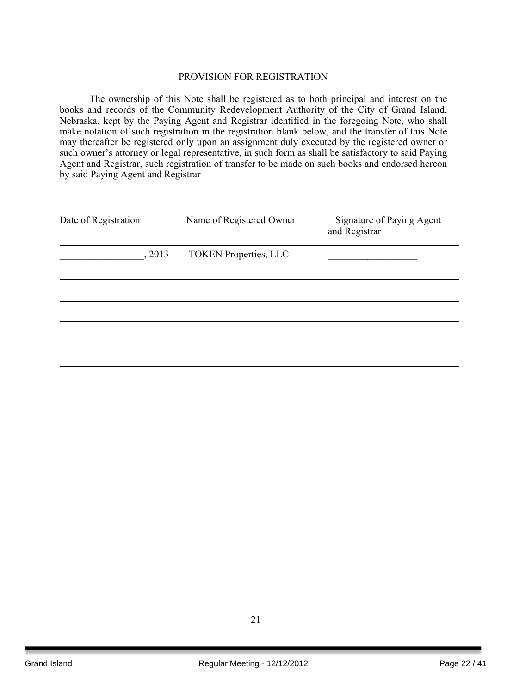#### PROVISION FOR REGISTRATION

The ownership of this Note shall be registered as to both principal and interest on the books and records of the Community Redevelopment Authority of the City of Grand Island, Nebraska, kept by the Paying Agent and Registrar identified in the foregoing Note, who shall make notation of such registration in the registration blank below, and the transfer of this Note may thereafter be registered only upon an assignment duly executed by the registered owner or such owner's attorney or legal representative, in such form as shall be satisfactory to said Paying Agent and Registrar, such registration of transfer to be made on such books and endorsed hereon by said Paying Agent and Registrar

| Date of Registration | Name of Registered Owner     | Signature of Paying Agent<br>and Registrar |
|----------------------|------------------------------|--------------------------------------------|
| , 2013               | <b>TOKEN Properties, LLC</b> |                                            |
|                      |                              |                                            |
|                      |                              |                                            |
|                      |                              |                                            |
|                      |                              |                                            |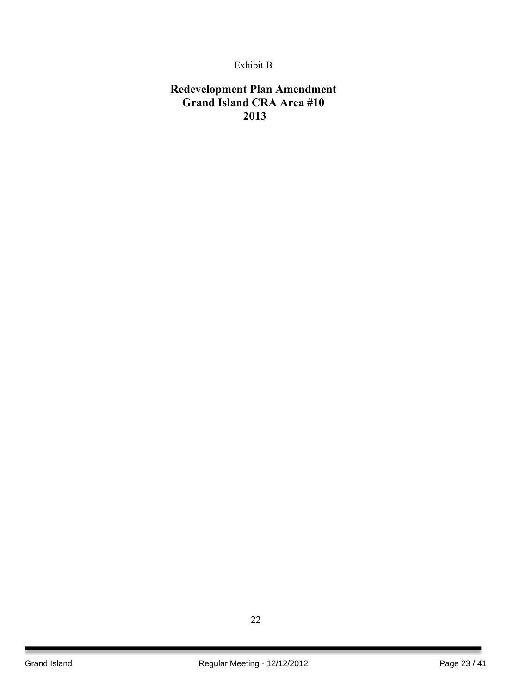## Exhibit B

## **Redevelopment Plan Amendment Grand Island CRA Area #10 2013**

22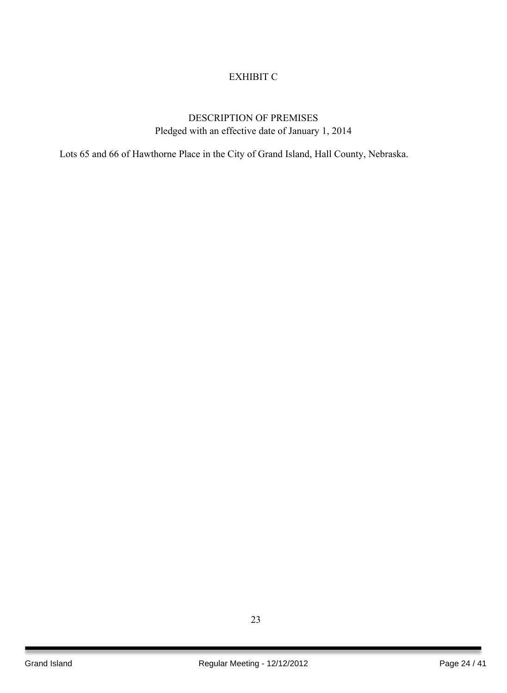## EXHIBIT C

## DESCRIPTION OF PREMISES Pledged with an effective date of January 1, 2014

Lots 65 and 66 of Hawthorne Place in the City of Grand Island, Hall County, Nebraska.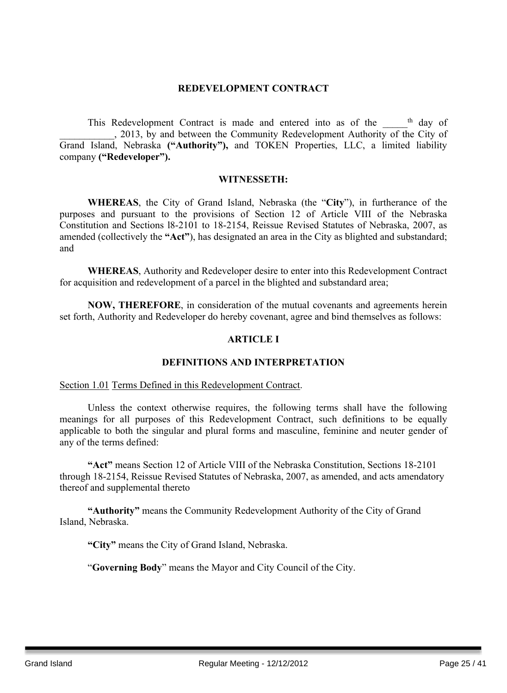## **REDEVELOPMENT CONTRACT**

This Redevelopment Contract is made and entered into as of the \_\_\_\_\_<sup>th</sup> day of . 2013, by and between the Community Redevelopment Authority of the City of Grand Island, Nebraska **("Authority"),** and TOKEN Properties, LLC, a limited liability company **("Redeveloper").**

#### **WITNESSETH:**

**WHEREAS**, the City of Grand Island, Nebraska (the "**City**"), in furtherance of the purposes and pursuant to the provisions of Section 12 of Article VIII of the Nebraska Constitution and Sections l8-2101 to 18-2154, Reissue Revised Statutes of Nebraska, 2007, as amended (collectively the **"Act"**), has designated an area in the City as blighted and substandard; and

**WHEREAS**, Authority and Redeveloper desire to enter into this Redevelopment Contract for acquisition and redevelopment of a parcel in the blighted and substandard area;

**NOW, THEREFORE**, in consideration of the mutual covenants and agreements herein set forth, Authority and Redeveloper do hereby covenant, agree and bind themselves as follows:

## **ARTICLE I**

## **DEFINITIONS AND INTERPRETATION**

#### Section 1.01 Terms Defined in this Redevelopment Contract.

Unless the context otherwise requires, the following terms shall have the following meanings for all purposes of this Redevelopment Contract, such definitions to be equally applicable to both the singular and plural forms and masculine, feminine and neuter gender of any of the terms defined:

**"Act"** means Section 12 of Article VIII of the Nebraska Constitution, Sections 18-2101 through 18-2154, Reissue Revised Statutes of Nebraska, 2007, as amended, and acts amendatory thereof and supplemental thereto

**"Authority"** means the Community Redevelopment Authority of the City of Grand Island, Nebraska.

**"City"** means the City of Grand Island, Nebraska.

"**Governing Body**" means the Mayor and City Council of the City.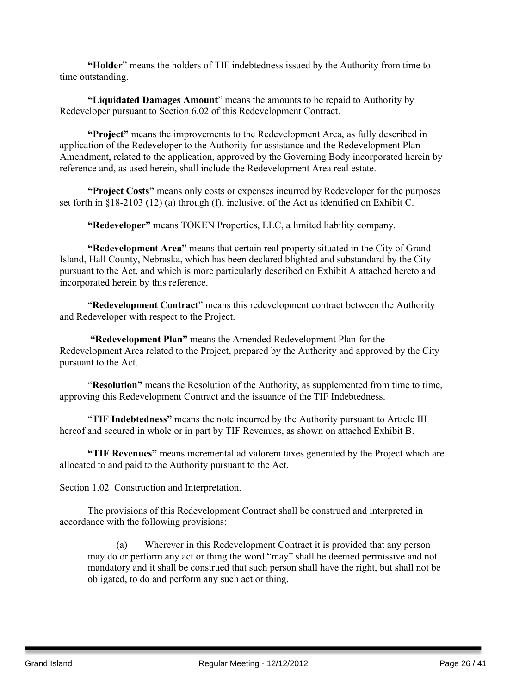**"Holder**" means the holders of TIF indebtedness issued by the Authority from time to time outstanding.

**"Liquidated Damages Amount**" means the amounts to be repaid to Authority by Redeveloper pursuant to Section 6.02 of this Redevelopment Contract.

**"Project"** means the improvements to the Redevelopment Area, as fully described in application of the Redeveloper to the Authority for assistance and the Redevelopment Plan Amendment, related to the application, approved by the Governing Body incorporated herein by reference and, as used herein, shall include the Redevelopment Area real estate.

**"Project Costs"** means only costs or expenses incurred by Redeveloper for the purposes set forth in §18-2103 (12) (a) through (f), inclusive, of the Act as identified on Exhibit C.

**"Redeveloper"** means TOKEN Properties, LLC, a limited liability company.

**"Redevelopment Area"** means that certain real property situated in the City of Grand Island, Hall County, Nebraska, which has been declared blighted and substandard by the City pursuant to the Act, and which is more particularly described on Exhibit A attached hereto and incorporated herein by this reference.

"**Redevelopment Contract**" means this redevelopment contract between the Authority and Redeveloper with respect to the Project.

**"Redevelopment Plan"** means the Amended Redevelopment Plan for the Redevelopment Area related to the Project, prepared by the Authority and approved by the City pursuant to the Act.

"**Resolution"** means the Resolution of the Authority, as supplemented from time to time, approving this Redevelopment Contract and the issuance of the TIF Indebtedness.

"**TIF Indebtedness"** means the note incurred by the Authority pursuant to Article III hereof and secured in whole or in part by TIF Revenues, as shown on attached Exhibit B.

**"TIF Revenues"** means incremental ad valorem taxes generated by the Project which are allocated to and paid to the Authority pursuant to the Act.

#### Section 1.02 Construction and Interpretation.

The provisions of this Redevelopment Contract shall be construed and interpreted in accordance with the following provisions:

(a) Wherever in this Redevelopment Contract it is provided that any person may do or perform any act or thing the word "may" shall he deemed permissive and not mandatory and it shall be construed that such person shall have the right, but shall not be obligated, to do and perform any such act or thing.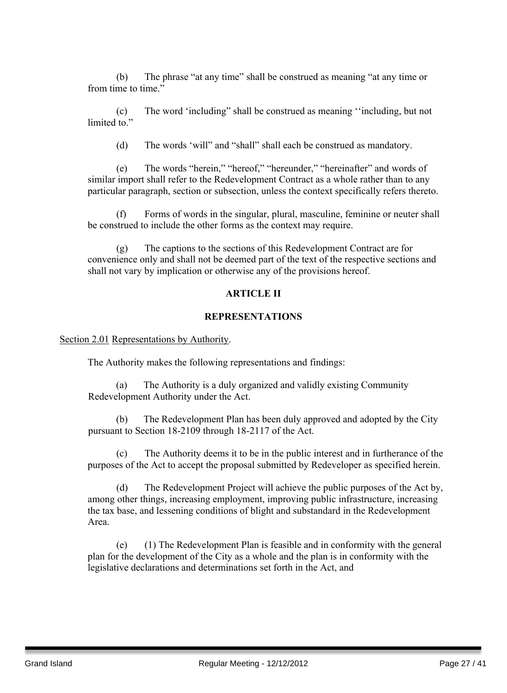(b) The phrase "at any time" shall be construed as meaning "at any time or from time to time."

(c) The word 'including" shall be construed as meaning ''including, but not limited to."

(d) The words 'will" and "shall" shall each be construed as mandatory.

(e) The words "herein," "hereof," "hereunder," "hereinafter" and words of similar import shall refer to the Redevelopment Contract as a whole rather than to any particular paragraph, section or subsection, unless the context specifically refers thereto.

(f) Forms of words in the singular, plural, masculine, feminine or neuter shall be construed to include the other forms as the context may require.

(g) The captions to the sections of this Redevelopment Contract are for convenience only and shall not be deemed part of the text of the respective sections and shall not vary by implication or otherwise any of the provisions hereof.

## **ARTICLE II**

## **REPRESENTATIONS**

Section 2.01 Representations by Authority.

The Authority makes the following representations and findings:

(a) The Authority is a duly organized and validly existing Community Redevelopment Authority under the Act.

(b) The Redevelopment Plan has been duly approved and adopted by the City pursuant to Section 18-2109 through 18-2117 of the Act.

(c) The Authority deems it to be in the public interest and in furtherance of the purposes of the Act to accept the proposal submitted by Redeveloper as specified herein.

(d) The Redevelopment Project will achieve the public purposes of the Act by, among other things, increasing employment, improving public infrastructure, increasing the tax base, and lessening conditions of blight and substandard in the Redevelopment Area.

(e) (1) The Redevelopment Plan is feasible and in conformity with the general plan for the development of the City as a whole and the plan is in conformity with the legislative declarations and determinations set forth in the Act, and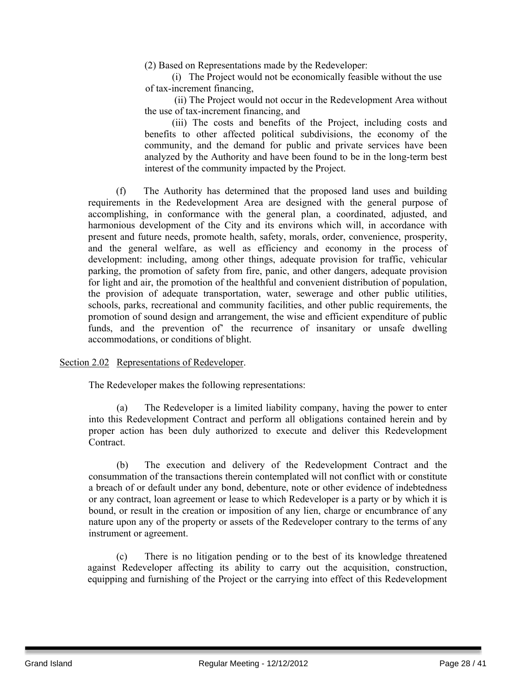(2) Based on Representations made by the Redeveloper:

(i) The Project would not be economically feasible without the use of tax-increment financing,

(ii) The Project would not occur in the Redevelopment Area without the use of tax-increment financing, and

(iii) The costs and benefits of the Project, including costs and benefits to other affected political subdivisions, the economy of the community, and the demand for public and private services have been analyzed by the Authority and have been found to be in the long-term best interest of the community impacted by the Project.

(f) The Authority has determined that the proposed land uses and building requirements in the Redevelopment Area are designed with the general purpose of accomplishing, in conformance with the general plan, a coordinated, adjusted, and harmonious development of the City and its environs which will, in accordance with present and future needs, promote health, safety, morals, order, convenience, prosperity, and the general welfare, as well as efficiency and economy in the process of development: including, among other things, adequate provision for traffic, vehicular parking, the promotion of safety from fire, panic, and other dangers, adequate provision for light and air, the promotion of the healthful and convenient distribution of population, the provision of adequate transportation, water, sewerage and other public utilities, schools, parks, recreational and community facilities, and other public requirements, the promotion of sound design and arrangement, the wise and efficient expenditure of public funds, and the prevention of' the recurrence of insanitary or unsafe dwelling accommodations, or conditions of blight.

Section 2.02 Representations of Redeveloper.

The Redeveloper makes the following representations:

(a) The Redeveloper is a limited liability company, having the power to enter into this Redevelopment Contract and perform all obligations contained herein and by proper action has been duly authorized to execute and deliver this Redevelopment Contract.

(b) The execution and delivery of the Redevelopment Contract and the consummation of the transactions therein contemplated will not conflict with or constitute a breach of or default under any bond, debenture, note or other evidence of indebtedness or any contract, loan agreement or lease to which Redeveloper is a party or by which it is bound, or result in the creation or imposition of any lien, charge or encumbrance of any nature upon any of the property or assets of the Redeveloper contrary to the terms of any instrument or agreement.

(c) There is no litigation pending or to the best of its knowledge threatened against Redeveloper affecting its ability to carry out the acquisition, construction, equipping and furnishing of the Project or the carrying into effect of this Redevelopment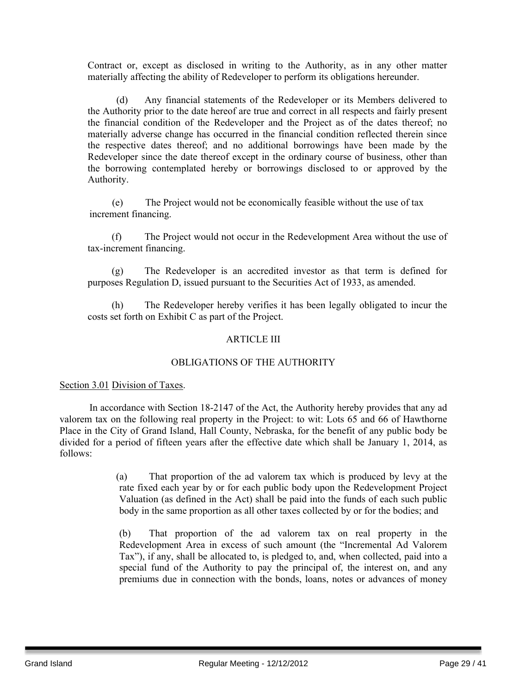Contract or, except as disclosed in writing to the Authority, as in any other matter materially affecting the ability of Redeveloper to perform its obligations hereunder.

(d) Any financial statements of the Redeveloper or its Members delivered to the Authority prior to the date hereof are true and correct in all respects and fairly present the financial condition of the Redeveloper and the Project as of the dates thereof; no materially adverse change has occurred in the financial condition reflected therein since the respective dates thereof; and no additional borrowings have been made by the Redeveloper since the date thereof except in the ordinary course of business, other than the borrowing contemplated hereby or borrowings disclosed to or approved by the Authority.

(e) The Project would not be economically feasible without the use of tax increment financing.

(f) The Project would not occur in the Redevelopment Area without the use of tax-increment financing.

(g) The Redeveloper is an accredited investor as that term is defined for purposes Regulation D, issued pursuant to the Securities Act of 1933, as amended.

(h) The Redeveloper hereby verifies it has been legally obligated to incur the costs set forth on Exhibit C as part of the Project.

## ARTICLE III

## OBLIGATIONS OF THE AUTHORITY

## Section 3.01 Division of Taxes.

In accordance with Section 18-2147 of the Act, the Authority hereby provides that any ad valorem tax on the following real property in the Project: to wit: Lots 65 and 66 of Hawthorne Place in the City of Grand Island, Hall County, Nebraska, for the benefit of any public body be divided for a period of fifteen years after the effective date which shall be January 1, 2014, as follows:

> (a) That proportion of the ad valorem tax which is produced by levy at the rate fixed each year by or for each public body upon the Redevelopment Project Valuation (as defined in the Act) shall be paid into the funds of each such public body in the same proportion as all other taxes collected by or for the bodies; and

> (b) That proportion of the ad valorem tax on real property in the Redevelopment Area in excess of such amount (the "Incremental Ad Valorem Tax"), if any, shall be allocated to, is pledged to, and, when collected, paid into a special fund of the Authority to pay the principal of, the interest on, and any premiums due in connection with the bonds, loans, notes or advances of money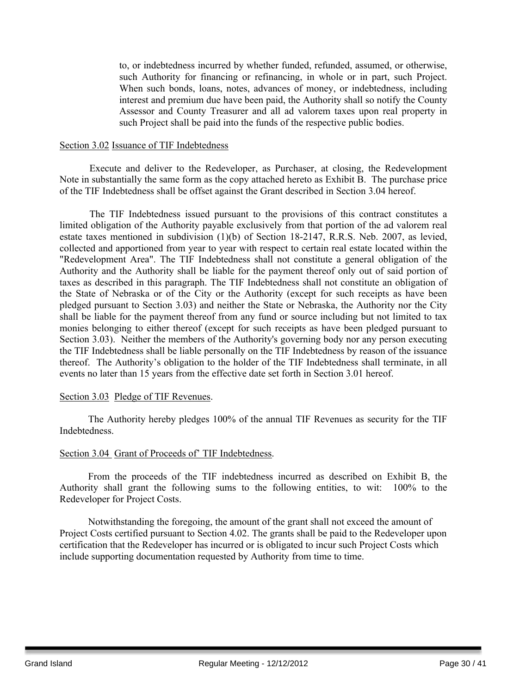to, or indebtedness incurred by whether funded, refunded, assumed, or otherwise, such Authority for financing or refinancing, in whole or in part, such Project. When such bonds, loans, notes, advances of money, or indebtedness, including interest and premium due have been paid, the Authority shall so notify the County Assessor and County Treasurer and all ad valorem taxes upon real property in such Project shall be paid into the funds of the respective public bodies.

#### Section 3.02 Issuance of TIF Indebtedness

Execute and deliver to the Redeveloper, as Purchaser, at closing, the Redevelopment Note in substantially the same form as the copy attached hereto as Exhibit B. The purchase price of the TIF Indebtedness shall be offset against the Grant described in Section 3.04 hereof.

The TIF Indebtedness issued pursuant to the provisions of this contract constitutes a limited obligation of the Authority payable exclusively from that portion of the ad valorem real estate taxes mentioned in subdivision (1)(b) of Section 18-2147, R.R.S. Neb. 2007, as levied, collected and apportioned from year to year with respect to certain real estate located within the "Redevelopment Area". The TIF Indebtedness shall not constitute a general obligation of the Authority and the Authority shall be liable for the payment thereof only out of said portion of taxes as described in this paragraph. The TIF Indebtedness shall not constitute an obligation of the State of Nebraska or of the City or the Authority (except for such receipts as have been pledged pursuant to Section 3.03) and neither the State or Nebraska, the Authority nor the City shall be liable for the payment thereof from any fund or source including but not limited to tax monies belonging to either thereof (except for such receipts as have been pledged pursuant to Section 3.03). Neither the members of the Authority's governing body nor any person executing the TIF Indebtedness shall be liable personally on the TIF Indebtedness by reason of the issuance thereof. The Authority's obligation to the holder of the TIF Indebtedness shall terminate, in all events no later than 15 years from the effective date set forth in Section 3.01 hereof.

## Section 3.03 Pledge of TIF Revenues.

The Authority hereby pledges 100% of the annual TIF Revenues as security for the TIF Indebtedness.

## Section 3.04 Grant of Proceeds of' TIF Indebtedness.

From the proceeds of the TIF indebtedness incurred as described on Exhibit B, the Authority shall grant the following sums to the following entities, to wit: 100% to the Redeveloper for Project Costs.

Notwithstanding the foregoing, the amount of the grant shall not exceed the amount of Project Costs certified pursuant to Section 4.02. The grants shall be paid to the Redeveloper upon certification that the Redeveloper has incurred or is obligated to incur such Project Costs which include supporting documentation requested by Authority from time to time.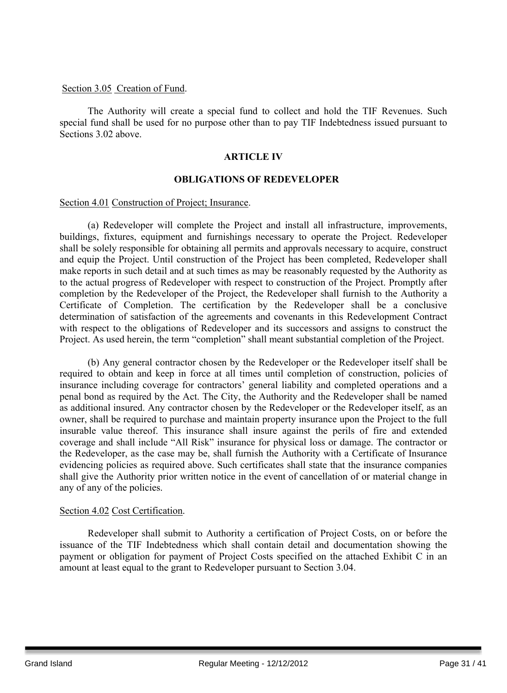## Section 3.05 Creation of Fund.

The Authority will create a special fund to collect and hold the TIF Revenues. Such special fund shall be used for no purpose other than to pay TIF Indebtedness issued pursuant to Sections 3.02 above

## **ARTICLE IV**

## **OBLIGATIONS OF REDEVELOPER**

#### Section 4.01 Construction of Project; Insurance.

(a) Redeveloper will complete the Project and install all infrastructure, improvements, buildings, fixtures, equipment and furnishings necessary to operate the Project. Redeveloper shall be solely responsible for obtaining all permits and approvals necessary to acquire, construct and equip the Project. Until construction of the Project has been completed, Redeveloper shall make reports in such detail and at such times as may be reasonably requested by the Authority as to the actual progress of Redeveloper with respect to construction of the Project. Promptly after completion by the Redeveloper of the Project, the Redeveloper shall furnish to the Authority a Certificate of Completion. The certification by the Redeveloper shall be a conclusive determination of satisfaction of the agreements and covenants in this Redevelopment Contract with respect to the obligations of Redeveloper and its successors and assigns to construct the Project. As used herein, the term "completion" shall meant substantial completion of the Project.

(b) Any general contractor chosen by the Redeveloper or the Redeveloper itself shall be required to obtain and keep in force at all times until completion of construction, policies of insurance including coverage for contractors' general liability and completed operations and a penal bond as required by the Act. The City, the Authority and the Redeveloper shall be named as additional insured. Any contractor chosen by the Redeveloper or the Redeveloper itself, as an owner, shall be required to purchase and maintain property insurance upon the Project to the full insurable value thereof. This insurance shall insure against the perils of fire and extended coverage and shall include "All Risk" insurance for physical loss or damage. The contractor or the Redeveloper, as the case may be, shall furnish the Authority with a Certificate of Insurance evidencing policies as required above. Such certificates shall state that the insurance companies shall give the Authority prior written notice in the event of cancellation of or material change in any of any of the policies.

## Section 4.02 Cost Certification.

Redeveloper shall submit to Authority a certification of Project Costs, on or before the issuance of the TIF Indebtedness which shall contain detail and documentation showing the payment or obligation for payment of Project Costs specified on the attached Exhibit C in an amount at least equal to the grant to Redeveloper pursuant to Section 3.04.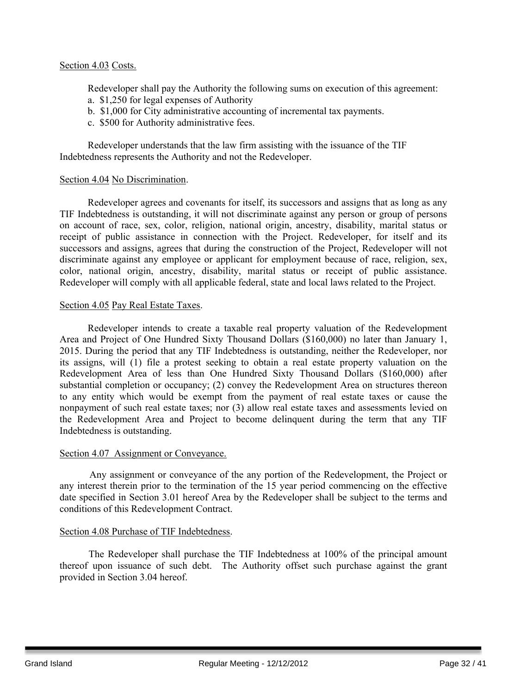## Section 4.03 Costs.

Redeveloper shall pay the Authority the following sums on execution of this agreement:

- a. \$1,250 for legal expenses of Authority
- b. \$1,000 for City administrative accounting of incremental tax payments.
- c. \$500 for Authority administrative fees.

Redeveloper understands that the law firm assisting with the issuance of the TIF Indebtedness represents the Authority and not the Redeveloper.

## Section 4.04 No Discrimination.

Redeveloper agrees and covenants for itself, its successors and assigns that as long as any TIF Indebtedness is outstanding, it will not discriminate against any person or group of persons on account of race, sex, color, religion, national origin, ancestry, disability, marital status or receipt of public assistance in connection with the Project. Redeveloper, for itself and its successors and assigns, agrees that during the construction of the Project, Redeveloper will not discriminate against any employee or applicant for employment because of race, religion, sex, color, national origin, ancestry, disability, marital status or receipt of public assistance. Redeveloper will comply with all applicable federal, state and local laws related to the Project.

## Section 4.05 Pay Real Estate Taxes.

Redeveloper intends to create a taxable real property valuation of the Redevelopment Area and Project of One Hundred Sixty Thousand Dollars (\$160,000) no later than January 1, 2015. During the period that any TIF Indebtedness is outstanding, neither the Redeveloper, nor its assigns, will (1) file a protest seeking to obtain a real estate property valuation on the Redevelopment Area of less than One Hundred Sixty Thousand Dollars (\$160,000) after substantial completion or occupancy; (2) convey the Redevelopment Area on structures thereon to any entity which would be exempt from the payment of real estate taxes or cause the nonpayment of such real estate taxes; nor (3) allow real estate taxes and assessments levied on the Redevelopment Area and Project to become delinquent during the term that any TIF Indebtedness is outstanding.

## Section 4.07 Assignment or Conveyance.

Any assignment or conveyance of the any portion of the Redevelopment, the Project or any interest therein prior to the termination of the 15 year period commencing on the effective date specified in Section 3.01 hereof Area by the Redeveloper shall be subject to the terms and conditions of this Redevelopment Contract.

## Section 4.08 Purchase of TIF Indebtedness.

The Redeveloper shall purchase the TIF Indebtedness at 100% of the principal amount thereof upon issuance of such debt. The Authority offset such purchase against the grant provided in Section 3.04 hereof.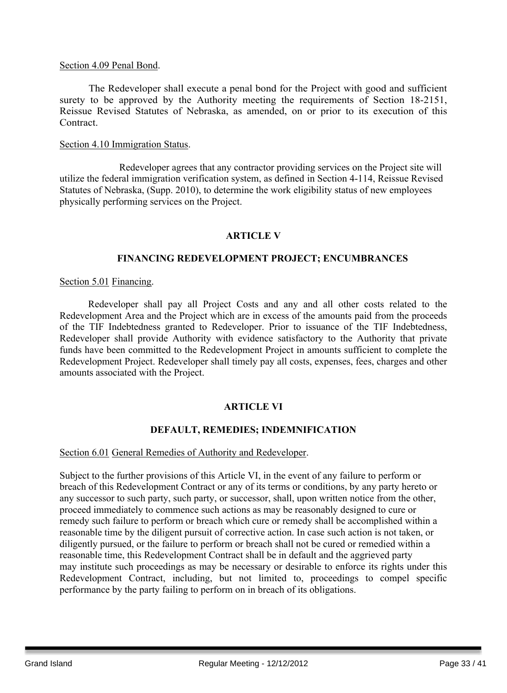## Section 4.09 Penal Bond.

The Redeveloper shall execute a penal bond for the Project with good and sufficient surety to be approved by the Authority meeting the requirements of Section 18-2151, Reissue Revised Statutes of Nebraska, as amended, on or prior to its execution of this Contract.

#### Section 4.10 Immigration Status.

Redeveloper agrees that any contractor providing services on the Project site will utilize the federal immigration verification system, as defined in Section 4-114, Reissue Revised Statutes of Nebraska, (Supp. 2010), to determine the work eligibility status of new employees physically performing services on the Project.

## **ARTICLE V**

## **FINANCING REDEVELOPMENT PROJECT; ENCUMBRANCES**

## Section 5.01 Financing.

Redeveloper shall pay all Project Costs and any and all other costs related to the Redevelopment Area and the Project which are in excess of the amounts paid from the proceeds of the TIF Indebtedness granted to Redeveloper. Prior to issuance of the TIF Indebtedness, Redeveloper shall provide Authority with evidence satisfactory to the Authority that private funds have been committed to the Redevelopment Project in amounts sufficient to complete the Redevelopment Project. Redeveloper shall timely pay all costs, expenses, fees, charges and other amounts associated with the Project.

## **ARTICLE VI**

## **DEFAULT, REMEDIES; INDEMNIFICATION**

## Section 6.01 General Remedies of Authority and Redeveloper.

Subject to the further provisions of this Article VI, in the event of any failure to perform or breach of this Redevelopment Contract or any of its terms or conditions, by any party hereto or any successor to such party, such party, or successor, shall, upon written notice from the other, proceed immediately to commence such actions as may be reasonably designed to cure or remedy such failure to perform or breach which cure or remedy shall be accomplished within a reasonable time by the diligent pursuit of corrective action. In case such action is not taken, or diligently pursued, or the failure to perform or breach shall not be cured or remedied within a reasonable time, this Redevelopment Contract shall be in default and the aggrieved party may institute such proceedings as may be necessary or desirable to enforce its rights under this Redevelopment Contract, including, but not limited to, proceedings to compel specific performance by the party failing to perform on in breach of its obligations.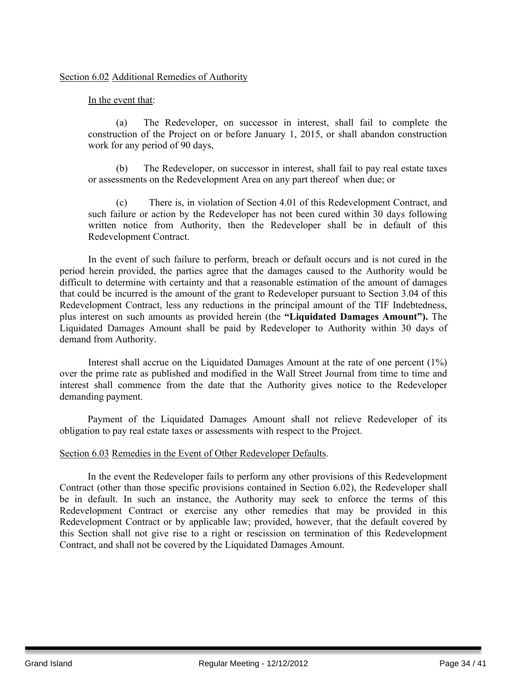## Section 6.02 Additional Remedies of Authority

## In the event that:

(a) The Redeveloper, on successor in interest, shall fail to complete the construction of the Project on or before January 1, 2015, or shall abandon construction work for any period of 90 days,

(b) The Redeveloper, on successor in interest, shall fail to pay real estate taxes or assessments on the Redevelopment Area on any part thereof when due; or

(c) There is, in violation of Section 4.01 of this Redevelopment Contract, and such failure or action by the Redeveloper has not been cured within 30 days following written notice from Authority, then the Redeveloper shall be in default of this Redevelopment Contract.

In the event of such failure to perform, breach or default occurs and is not cured in the period herein provided, the parties agree that the damages caused to the Authority would be difficult to determine with certainty and that a reasonable estimation of the amount of damages that could be incurred is the amount of the grant to Redeveloper pursuant to Section 3.04 of this Redevelopment Contract, less any reductions in the principal amount of the TIF Indebtedness, plus interest on such amounts as provided herein (the **"Liquidated Damages Amount").** The Liquidated Damages Amount shall be paid by Redeveloper to Authority within 30 days of demand from Authority.

Interest shall accrue on the Liquidated Damages Amount at the rate of one percent (1%) over the prime rate as published and modified in the Wall Street Journal from time to time and interest shall commence from the date that the Authority gives notice to the Redeveloper demanding payment.

Payment of the Liquidated Damages Amount shall not relieve Redeveloper of its obligation to pay real estate taxes or assessments with respect to the Project.

## Section 6.03 Remedies in the Event of Other Redeveloper Defaults.

In the event the Redeveloper fails to perform any other provisions of this Redevelopment Contract (other than those specific provisions contained in Section 6.02), the Redeveloper shall be in default. In such an instance, the Authority may seek to enforce the terms of this Redevelopment Contract or exercise any other remedies that may be provided in this Redevelopment Contract or by applicable law; provided, however, that the default covered by this Section shall not give rise to a right or rescission on termination of this Redevelopment Contract, and shall not be covered by the Liquidated Damages Amount.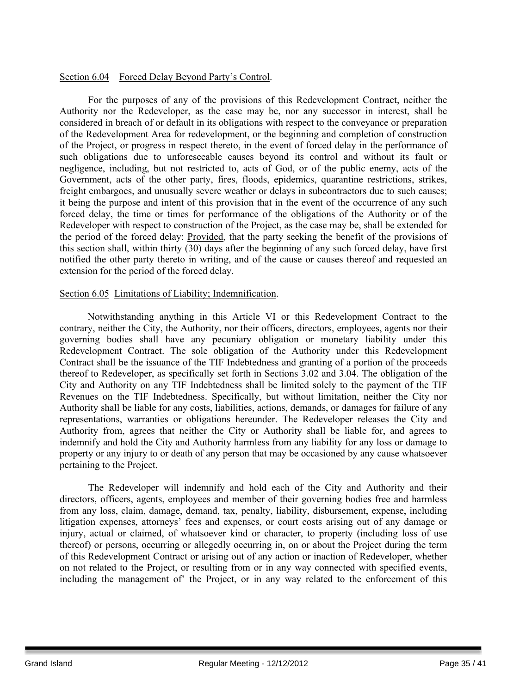## Section 6.04 Forced Delay Beyond Party's Control.

For the purposes of any of the provisions of this Redevelopment Contract, neither the Authority nor the Redeveloper, as the case may be, nor any successor in interest, shall be considered in breach of or default in its obligations with respect to the conveyance or preparation of the Redevelopment Area for redevelopment, or the beginning and completion of construction of the Project, or progress in respect thereto, in the event of forced delay in the performance of such obligations due to unforeseeable causes beyond its control and without its fault or negligence, including, but not restricted to, acts of God, or of the public enemy, acts of the Government, acts of the other party, fires, floods, epidemics, quarantine restrictions, strikes, freight embargoes, and unusually severe weather or delays in subcontractors due to such causes; it being the purpose and intent of this provision that in the event of the occurrence of any such forced delay, the time or times for performance of the obligations of the Authority or of the Redeveloper with respect to construction of the Project, as the case may be, shall be extended for the period of the forced delay: Provided, that the party seeking the benefit of the provisions of this section shall, within thirty (30) days after the beginning of any such forced delay, have first notified the other party thereto in writing, and of the cause or causes thereof and requested an extension for the period of the forced delay.

## Section 6.05 Limitations of Liability; Indemnification.

Notwithstanding anything in this Article VI or this Redevelopment Contract to the contrary, neither the City, the Authority, nor their officers, directors, employees, agents nor their governing bodies shall have any pecuniary obligation or monetary liability under this Redevelopment Contract. The sole obligation of the Authority under this Redevelopment Contract shall be the issuance of the TIF Indebtedness and granting of a portion of the proceeds thereof to Redeveloper, as specifically set forth in Sections 3.02 and 3.04. The obligation of the City and Authority on any TIF Indebtedness shall be limited solely to the payment of the TIF Revenues on the TIF Indebtedness. Specifically, but without limitation, neither the City nor Authority shall be liable for any costs, liabilities, actions, demands, or damages for failure of any representations, warranties or obligations hereunder. The Redeveloper releases the City and Authority from, agrees that neither the City or Authority shall be liable for, and agrees to indemnify and hold the City and Authority harmless from any liability for any loss or damage to property or any injury to or death of any person that may be occasioned by any cause whatsoever pertaining to the Project.

The Redeveloper will indemnify and hold each of the City and Authority and their directors, officers, agents, employees and member of their governing bodies free and harmless from any loss, claim, damage, demand, tax, penalty, liability, disbursement, expense, including litigation expenses, attorneys' fees and expenses, or court costs arising out of any damage or injury, actual or claimed, of whatsoever kind or character, to property (including loss of use thereof) or persons, occurring or allegedly occurring in, on or about the Project during the term of this Redevelopment Contract or arising out of any action or inaction of Redeveloper, whether on not related to the Project, or resulting from or in any way connected with specified events, including the management of' the Project, or in any way related to the enforcement of this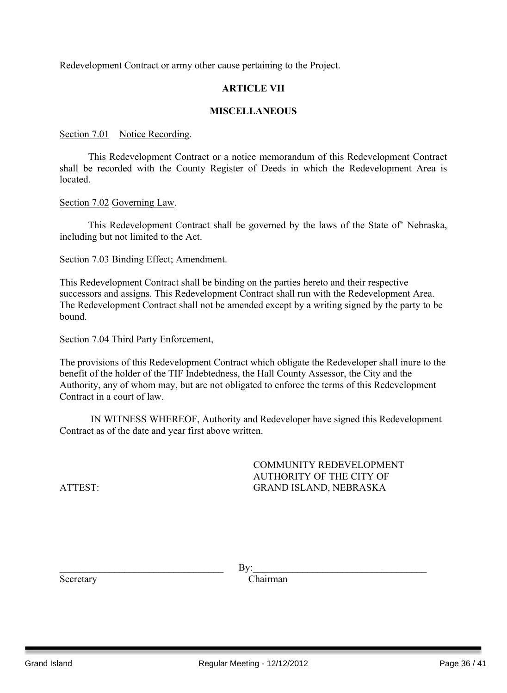Redevelopment Contract or army other cause pertaining to the Project.

## **ARTICLE VII**

## **MISCELLANEOUS**

#### Section 7.01 Notice Recording.

This Redevelopment Contract or a notice memorandum of this Redevelopment Contract shall be recorded with the County Register of Deeds in which the Redevelopment Area is located.

Section 7.02 Governing Law.

This Redevelopment Contract shall be governed by the laws of the State of' Nebraska, including but not limited to the Act.

#### Section 7.03 Binding Effect; Amendment.

This Redevelopment Contract shall be binding on the parties hereto and their respective successors and assigns. This Redevelopment Contract shall run with the Redevelopment Area. The Redevelopment Contract shall not be amended except by a writing signed by the party to be bound.

Section 7.04 Third Party Enforcement,

The provisions of this Redevelopment Contract which obligate the Redeveloper shall inure to the benefit of the holder of the TIF Indebtedness, the Hall County Assessor, the City and the Authority, any of whom may, but are not obligated to enforce the terms of this Redevelopment Contract in a court of law.

IN WITNESS WHEREOF, Authority and Redeveloper have signed this Redevelopment Contract as of the date and year first above written.

COMMUNITY REDEVELOPMENT AUTHORITY OF THE CITY OF ATTEST: GRAND ISLAND, NEBRASKA

 $\qquad \qquad \text{By:} \qquad$ 

Secretary Chairman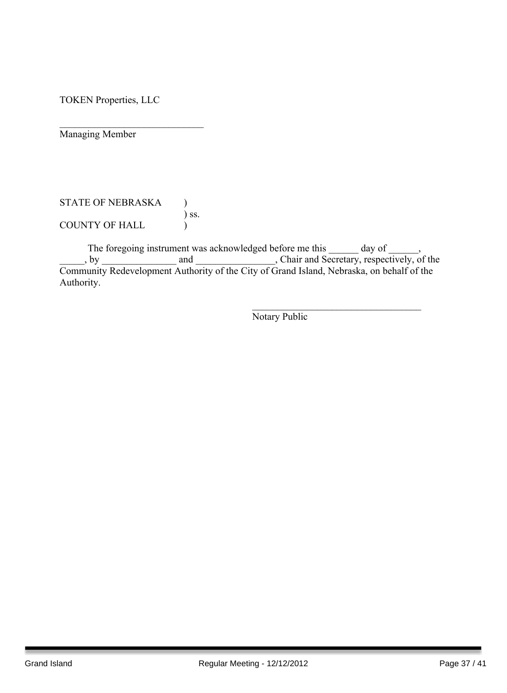TOKEN Properties, LLC

 $\mathcal{L}_\text{max}$  , where  $\mathcal{L}_\text{max}$  , we have the set of  $\mathcal{L}_\text{max}$ Managing Member

STATE OF NEBRASKA )  $\int$  ss. COUNTY OF HALL )

The foregoing instrument was acknowledged before me this day of  $\qquad \qquad$ , \_\_\_\_\_, by \_\_\_\_\_\_\_\_\_\_\_\_\_\_\_ and \_\_\_\_\_\_\_\_\_\_\_\_\_\_\_\_, Chair and Secretary, respectively, of the Community Redevelopment Authority of the City of Grand Island, Nebraska, on behalf of the Authority.

Notary Public

 $\mathcal{L}_\text{max}$  , and the set of the set of the set of the set of the set of the set of the set of the set of the set of the set of the set of the set of the set of the set of the set of the set of the set of the set of the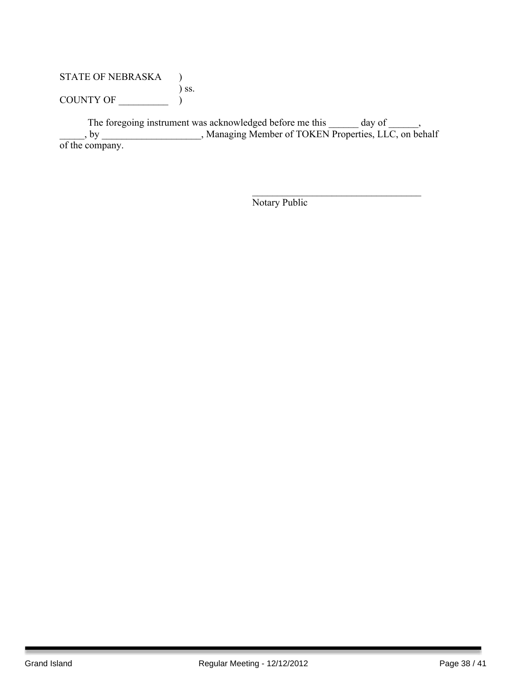## STATE OF NEBRASKA ) ) ss. COUNTY OF  $\_\_\_\_\_\_\_$

The foregoing instrument was acknowledged before me this \_\_\_\_\_\_ day of \_\_\_\_\_\_, \_\_\_\_\_, by \_\_\_\_\_\_\_\_\_\_\_\_\_\_\_\_\_\_\_\_, Managing Member of TOKEN Properties, LLC, on behalf of the company.

Notary Public

 $\mathcal{L}_\text{max}$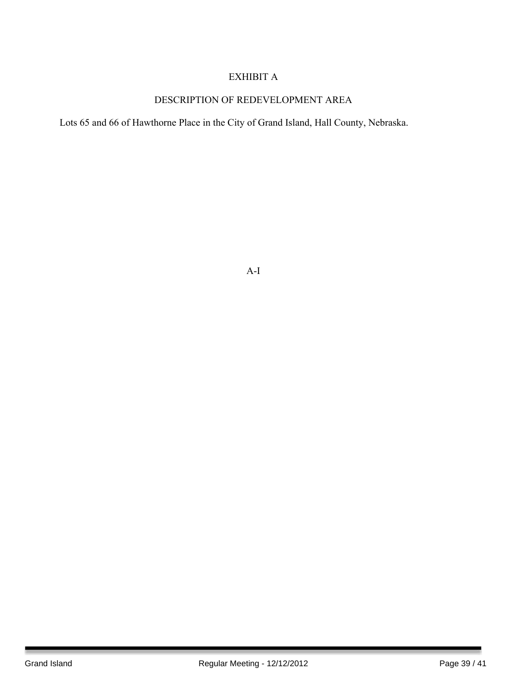## EXHIBIT A

## DESCRIPTION OF REDEVELOPMENT AREA

Lots 65 and 66 of Hawthorne Place in the City of Grand Island, Hall County, Nebraska.

A-I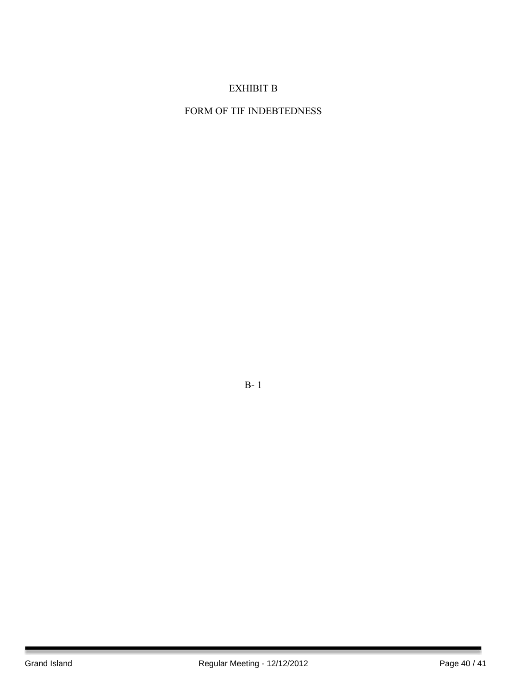## EXHIBIT B

## FORM OF TIF INDEBTEDNESS

B- 1